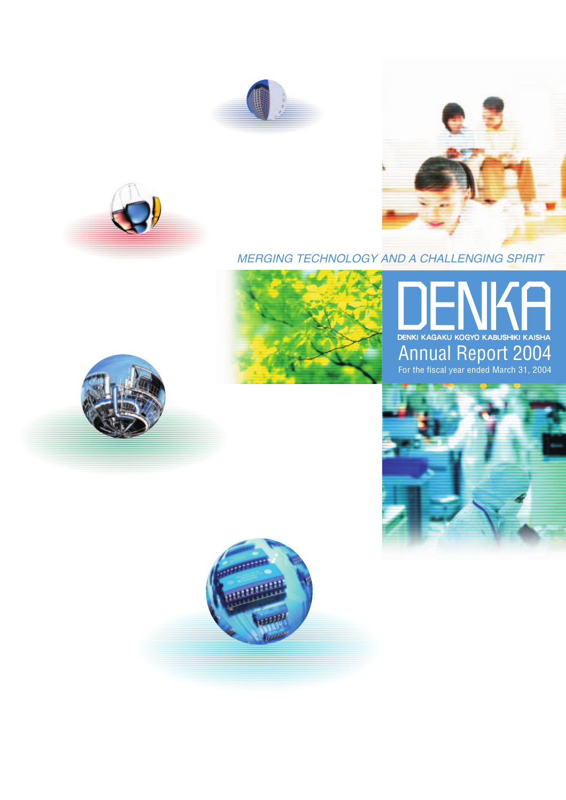





# MERGING TECHNOLOGY AND A CHALLENGING SPIRIT



# Annual Report 2004 For the fiscal year ended March 31, 2004





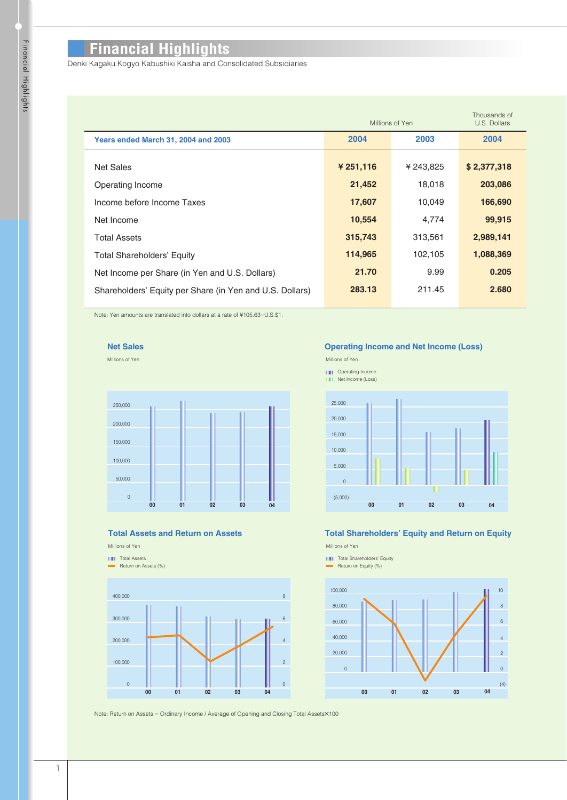# **Financial Highlights**

Denki Kagaku Kogyo Kabushiki Kaisha and Consolidated Subsidiaries

|                                                          | Millions of Yen | Thousands of<br>U.S. Dollars |             |
|----------------------------------------------------------|-----------------|------------------------------|-------------|
| Years ended March 31, 2004 and 2003                      | 2004            | 2003                         | 2004        |
| <b>Net Sales</b>                                         | ¥ 251,116       | ¥ 243,825                    | \$2,377,318 |
| Operating Income                                         | 21,452          | 18,018                       | 203,086     |
| Income before Income Taxes                               | 17,607          | 10,049                       | 166,690     |
| Net Income                                               | 10,554          | 4,774                        | 99,915      |
| <b>Total Assets</b>                                      | 315,743         | 313,561                      | 2,989,141   |
| <b>Total Shareholders' Equity</b>                        | 114,965         | 102,105                      | 1,088,369   |
| Net Income per Share (in Yen and U.S. Dollars)           | 21.70           | 9.99                         | 0.205       |
| Shareholders' Equity per Share (in Yen and U.S. Dollars) | 283.13          | 211.45                       | 2.680       |

Note: Yen amounts are translated into dollars at a rate of ¥105.63=U.S.\$1.



Millions of Yen



#### **Total Assets and Return on Assets**

# Millions of Yen

**TH** Total Assets Return on Assets (%)



**Operating Income and Net Income (Loss)**

Millions of Yen

- **III** Operating Income
- **Net Income (Loss)**



# **Total Shareholders' Equity and Return on Equity**

**THE Total Shareholders' Equity** Millions of Yen





Note: Return on Assets = Ordinary Income / Average of Opening and Closing Total Assets×100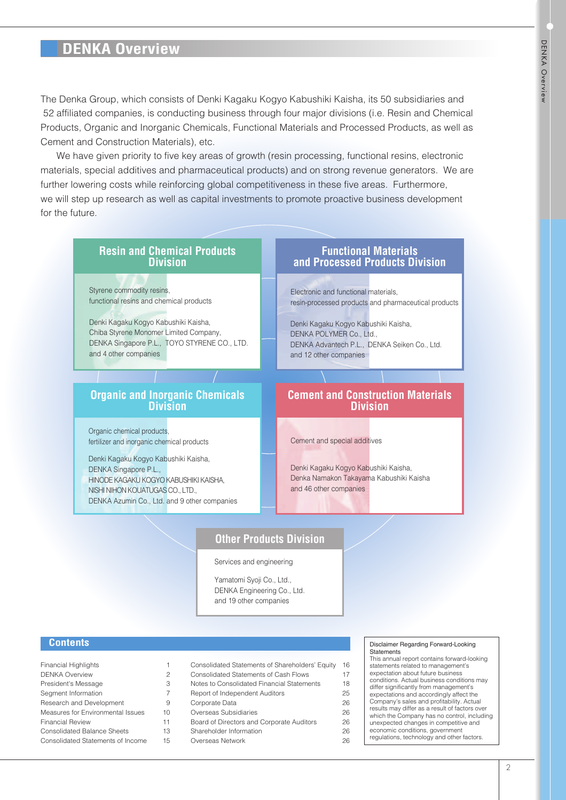# **DENKA Overview**

The Denka Group, which consists of Denki Kagaku Kogyo Kabushiki Kaisha, its 50 subsidiaries and 52 affiliated companies, is conducting business through four major divisions (i.e. Resin and Chemical Products, Organic and Inorganic Chemicals, Functional Materials and Processed Products, as well as Cement and Construction Materials), etc.

We have given priority to five key areas of growth (resin processing, functional resins, electronic materials, special additives and pharmaceutical products) and on strong revenue generators. We are further lowering costs while reinforcing global competitiveness in these five areas. Furthermore, we will step up research as well as capital investments to promote proactive business development for the future.

#### **Resin and Chemical Products Division** Styrene commodity resins, functional resins and chemical products Denki Kagaku Kogyo Kabushiki Kaisha, Chiba Styrene Monomer Limited Company, DENKA Singapore P.L., TOYO STYRENE CO., LTD. and 4 other companies Electronic and functional materials, resin-processed products and pharmaceutical products **Functional Materials and Processed Products Division** Denki Kagaku Kogyo Kabushiki Kaisha, DENKA POLYMER Co., Ltd., DENKA Advantech P.L., DENKA Seiken Co., Ltd. and 12 other companies **Organic and Inorganic Chemicals Division** Organic chemical products, fertilizer and inorganic chemical products Denki Kagaku Kogyo Kabushiki Kaisha, DENKA Singapore P.L., HINODE KAGAKU KOGYO KABUSHIKI KAISHA, NISHI NIHON KOUATUGAS CO., LTD., DENKA Azumin Co., Ltd. and 9 other companies **Cement and Construction Materials Division** Cement and special additives Denki Kagaku Kogyo Kabushiki Kaisha, Denka Namakon Takayama Kabushiki Kaisha and 46 other companies

# **Other Products Division**

Services and engineering

Yamatomi Syoji Co., Ltd., DENKA Engineering Co., Ltd. and 19 other companies

# **Contents**

| <b>Financial Highlights</b>        |  |
|------------------------------------|--|
| <b>DENKA Overview</b>              |  |
| President's Message                |  |
| Segment Information                |  |
| Research and Development           |  |
| Measures for Environmental Issues  |  |
| <b>Financial Review</b>            |  |
| <b>Consolidated Balance Sheets</b> |  |
| Consolidated Statements of Income  |  |
|                                    |  |

| Consolidated Statements of Shareholders' Equity | 16 |
|-------------------------------------------------|----|
| <b>Consolidated Statements of Cash Flows</b>    | 17 |
| Notes to Consolidated Financial Statements      | 18 |
| Report of Independent Auditors                  | 25 |
| Corporate Data                                  | 26 |
| Overseas Subsidiaries                           | 26 |
| Board of Directors and Corporate Auditors       | 26 |
| Shareholder Information                         | 26 |

# Overseas Network

#### Disclaimer Regarding Forward-Looking **Statements**

This annual report contains forward-looking statements related to management's

- expectation about future business
- conditions. Actual business conditions may
- differ significantly from management's
- expectations and accordingly affect the Company's sales and profitability. Actual
- results may differ as a result of factors over
- which the Company has no control, including unexpected changes in competitive and
- economic conditions, government

26

regulations, technology and other factors.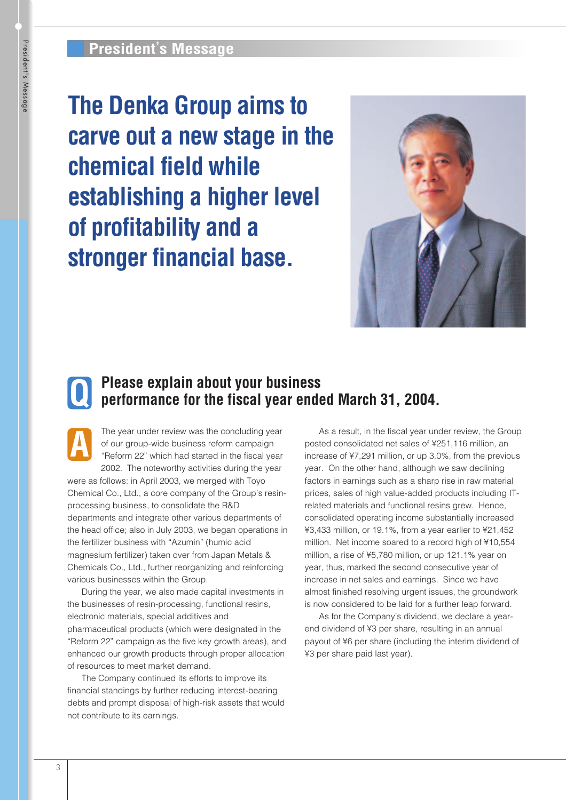**The Denka Group aims to carve out a new stage in the chemical field while establishing a higher level of profitability and a stronger financial base.**



# **Please explain about your business Q** Please explain about your business<br>performance for the fiscal year ended March 31, 2004.

The year under review was the concluding year of our group-wide business reform campaign "Reform 22" which had started in the fiscal year 2002. The noteworthy activities during the year **A**

were as follows: in April 2003, we merged with Toyo Chemical Co., Ltd., a core company of the Group's resinprocessing business, to consolidate the R&D departments and integrate other various departments of the head office; also in July 2003, we began operations in the fertilizer business with "Azumin" (humic acid magnesium fertilizer) taken over from Japan Metals & Chemicals Co., Ltd., further reorganizing and reinforcing various businesses within the Group.

During the year, we also made capital investments in the businesses of resin-processing, functional resins, electronic materials, special additives and pharmaceutical products (which were designated in the "Reform 22" campaign as the five key growth areas), and enhanced our growth products through proper allocation of resources to meet market demand.

The Company continued its efforts to improve its financial standings by further reducing interest-bearing debts and prompt disposal of high-risk assets that would not contribute to its earnings.

As a result, in the fiscal year under review, the Group posted consolidated net sales of ¥251,116 million, an increase of ¥7,291 million, or up 3.0%, from the previous year. On the other hand, although we saw declining factors in earnings such as a sharp rise in raw material prices, sales of high value-added products including ITrelated materials and functional resins grew. Hence, consolidated operating income substantially increased ¥3,433 million, or 19.1%, from a year earlier to ¥21,452 million. Net income soared to a record high of ¥10,554 million, a rise of ¥5,780 million, or up 121.1% year on year, thus, marked the second consecutive year of increase in net sales and earnings. Since we have almost finished resolving urgent issues, the groundwork is now considered to be laid for a further leap forward.

As for the Company's dividend, we declare a yearend dividend of ¥3 per share, resulting in an annual payout of ¥6 per share (including the interim dividend of ¥3 per share paid last year).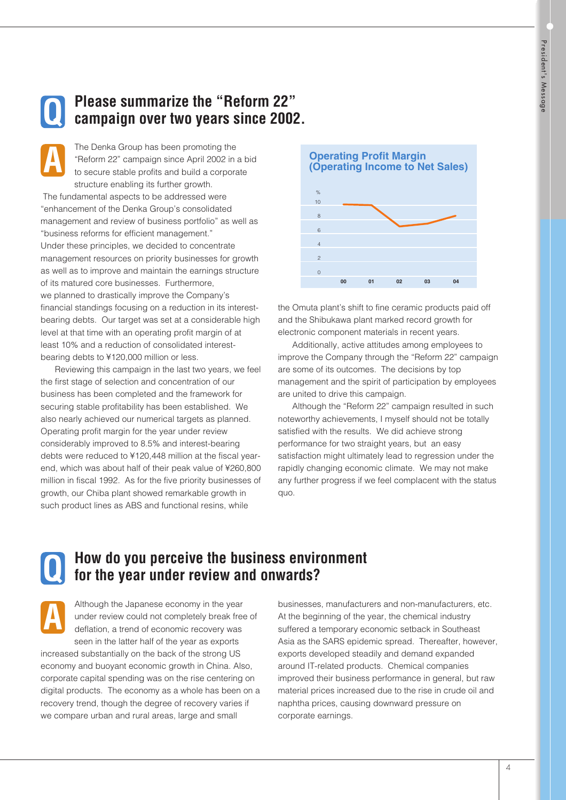

**A**

# **Please summarize the "Reform 22" campaign over two years since 2002.**

The Denka Group has been promoting the "Reform 22" campaign since April 2002 in a bid to secure stable profits and build a corporate structure enabling its further growth.

The fundamental aspects to be addressed were "enhancement of the Denka Group's consolidated management and review of business portfolio" as well as "business reforms for efficient management." Under these principles, we decided to concentrate management resources on priority businesses for growth

as well as to improve and maintain the earnings structure of its matured core businesses. Furthermore, we planned to drastically improve the Company's financial standings focusing on a reduction in its interestbearing debts. Our target was set at a considerable high level at that time with an operating profit margin of at least 10% and a reduction of consolidated interestbearing debts to ¥120,000 million or less.

Reviewing this campaign in the last two years, we feel the first stage of selection and concentration of our business has been completed and the framework for securing stable profitability has been established. We also nearly achieved our numerical targets as planned. Operating profit margin for the year under review considerably improved to 8.5% and interest-bearing debts were reduced to ¥120,448 million at the fiscal yearend, which was about half of their peak value of ¥260,800 million in fiscal 1992. As for the five priority businesses of growth, our Chiba plant showed remarkable growth in such product lines as ABS and functional resins, while



the Omuta plant's shift to fine ceramic products paid off and the Shibukawa plant marked record growth for electronic component materials in recent years.

Additionally, active attitudes among employees to improve the Company through the "Reform 22" campaign are some of its outcomes. The decisions by top management and the spirit of participation by employees are united to drive this campaign.

Although the "Reform 22" campaign resulted in such noteworthy achievements, I myself should not be totally satisfied with the results. We did achieve strong performance for two straight years, but an easy satisfaction might ultimately lead to regression under the rapidly changing economic climate. We may not make any further progress if we feel complacent with the status quo.

**Q**

**A**

# **How do you perceive the business environment for the year under review and onwards?**

Although the Japanese economy in the year under review could not completely break free of deflation, a trend of economic recovery was seen in the latter half of the year as exports

increased substantially on the back of the strong US economy and buoyant economic growth in China. Also, corporate capital spending was on the rise centering on digital products. The economy as a whole has been on a recovery trend, though the degree of recovery varies if we compare urban and rural areas, large and small

businesses, manufacturers and non-manufacturers, etc. At the beginning of the year, the chemical industry suffered a temporary economic setback in Southeast Asia as the SARS epidemic spread. Thereafter, however, exports developed steadily and demand expanded around IT-related products. Chemical companies improved their business performance in general, but raw material prices increased due to the rise in crude oil and naphtha prices, causing downward pressure on corporate earnings.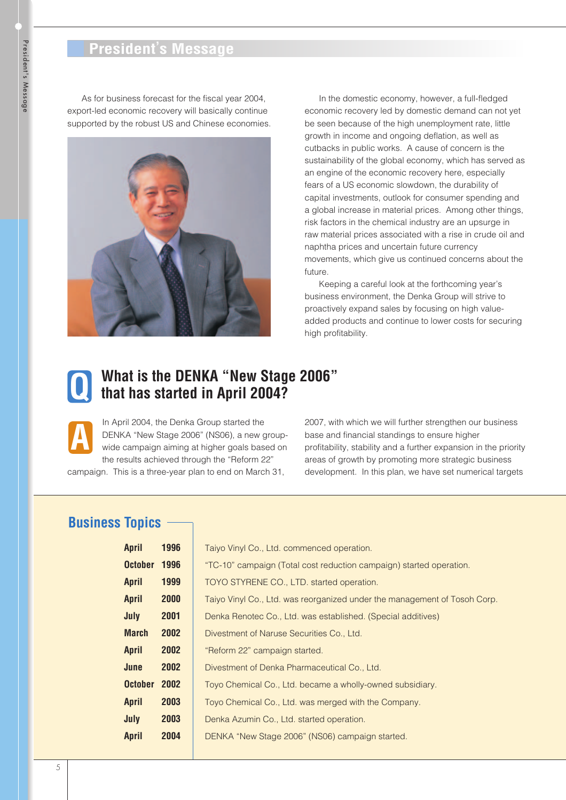# **President's Message**

As for business forecast for the fiscal year 2004, export-led economic recovery will basically continue supported by the robust US and Chinese economies.



In the domestic economy, however, a full-fledged economic recovery led by domestic demand can not yet be seen because of the high unemployment rate, little growth in income and ongoing deflation, as well as cutbacks in public works. A cause of concern is the sustainability of the global economy, which has served as an engine of the economic recovery here, especially fears of a US economic slowdown, the durability of capital investments, outlook for consumer spending and a global increase in material prices. Among other things, risk factors in the chemical industry are an upsurge in raw material prices associated with a rise in crude oil and naphtha prices and uncertain future currency movements, which give us continued concerns about the future.

Keeping a careful look at the forthcoming year's business environment, the Denka Group will strive to proactively expand sales by focusing on high valueadded products and continue to lower costs for securing high profitability.

# **What is the DENKA "New Stage 2006" Q that has started in April 2004?**

In April 2004, the Denka Group started the DENKA "New Stage 2006" (NS06), a new groupwide campaign aiming at higher goals based on the results achieved through the "Reform 22" **A**

campaign. This is a three-year plan to end on March 31,

2007, with which we will further strengthen our business base and financial standings to ensure higher profitability, stability and a further expansion in the priority areas of growth by promoting more strategic business development. In this plan, we have set numerical targets

# **Business Topics**

| <b>April</b>   | 1996 | Taiyo Vinyl Co., Ltd. commenced operation.                                |
|----------------|------|---------------------------------------------------------------------------|
| <b>October</b> | 1996 | "TC-10" campaign (Total cost reduction campaign) started operation.       |
| <b>April</b>   | 1999 | TOYO STYRENE CO., LTD. started operation.                                 |
| <b>April</b>   | 2000 | Taiyo Vinyl Co., Ltd. was reorganized under the management of Tosoh Corp. |
| July           | 2001 | Denka Renotec Co., Ltd. was established. (Special additives)              |
| <b>March</b>   | 2002 | Divestment of Naruse Securities Co., Ltd.                                 |
| <b>April</b>   | 2002 | "Reform 22" campaign started.                                             |
| June           | 2002 | Divestment of Denka Pharmaceutical Co., Ltd.                              |
| <b>October</b> | 2002 | Toyo Chemical Co., Ltd. became a wholly-owned subsidiary.                 |
| <b>April</b>   | 2003 | Toyo Chemical Co., Ltd. was merged with the Company.                      |
| July           | 2003 | Denka Azumin Co., Ltd. started operation.                                 |
| <b>April</b>   | 2004 | DENKA "New Stage 2006" (NS06) campaign started.                           |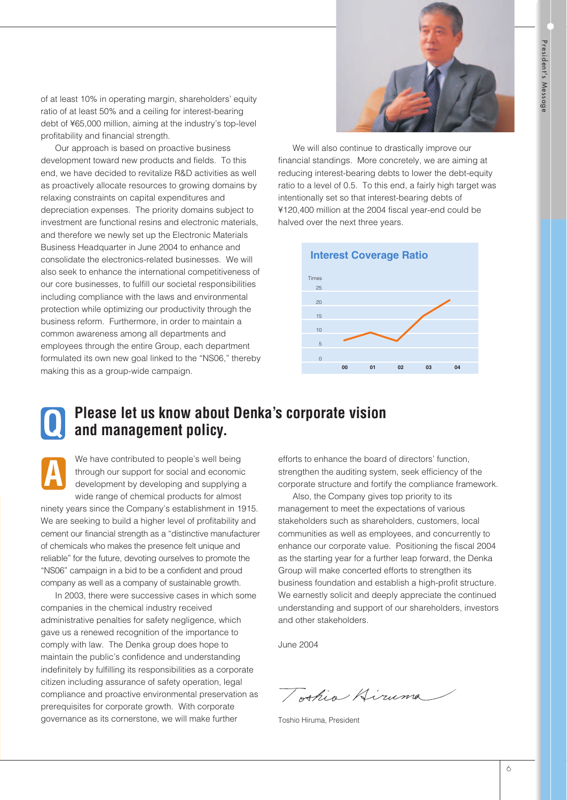of at least 10% in operating margin, shareholders' equity ratio of at least 50% and a ceiling for interest-bearing debt of ¥65,000 million, aiming at the industry's top-level profitability and financial strength.

Our approach is based on proactive business development toward new products and fields. To this end, we have decided to revitalize R&D activities as well as proactively allocate resources to growing domains by relaxing constraints on capital expenditures and depreciation expenses. The priority domains subject to investment are functional resins and electronic materials, and therefore we newly set up the Electronic Materials Business Headquarter in June 2004 to enhance and consolidate the electronics-related businesses. We will also seek to enhance the international competitiveness of our core businesses, to fulfill our societal responsibilities including compliance with the laws and environmental protection while optimizing our productivity through the business reform. Furthermore, in order to maintain a common awareness among all departments and employees through the entire Group, each department formulated its own new goal linked to the "NS06," thereby making this as a group-wide campaign.



We will also continue to drastically improve our financial standings. More concretely, we are aiming at reducing interest-bearing debts to lower the debt-equity ratio to a level of 0.5. To this end, a fairly high target was intentionally set so that interest-bearing debts of ¥120,400 million at the 2004 fiscal year-end could be halved over the next three years.



# **Q**

# **Please let us know about Denka's corporate vision and management policy.**

We have contributed to people's well being through our support for social and economic development by developing and supplying a wide range of chemical products for almost ninety years since the Company's establishment in 1915. We are seeking to build a higher level of profitability and cement our financial strength as a "distinctive manufacturer of chemicals who makes the presence felt unique and reliable" for the future, devoting ourselves to promote the "NS06" campaign in a bid to be a confident and proud company as well as a company of sustainable growth. **A**

In 2003, there were successive cases in which some companies in the chemical industry received administrative penalties for safety negligence, which gave us a renewed recognition of the importance to comply with law. The Denka group does hope to maintain the public's confidence and understanding indefinitely by fulfilling its responsibilities as a corporate citizen including assurance of safety operation, legal compliance and proactive environmental preservation as prerequisites for corporate growth. With corporate governance as its cornerstone, we will make further

efforts to enhance the board of directors' function, strengthen the auditing system, seek efficiency of the corporate structure and fortify the compliance framework.

Also, the Company gives top priority to its management to meet the expectations of various stakeholders such as shareholders, customers, local communities as well as employees, and concurrently to enhance our corporate value. Positioning the fiscal 2004 as the starting year for a further leap forward, the Denka Group will make concerted efforts to strengthen its business foundation and establish a high-profit structure. We earnestly solicit and deeply appreciate the continued understanding and support of our shareholders, investors and other stakeholders.

June 2004

Joshia Hiruma

Toshio Hiruma, President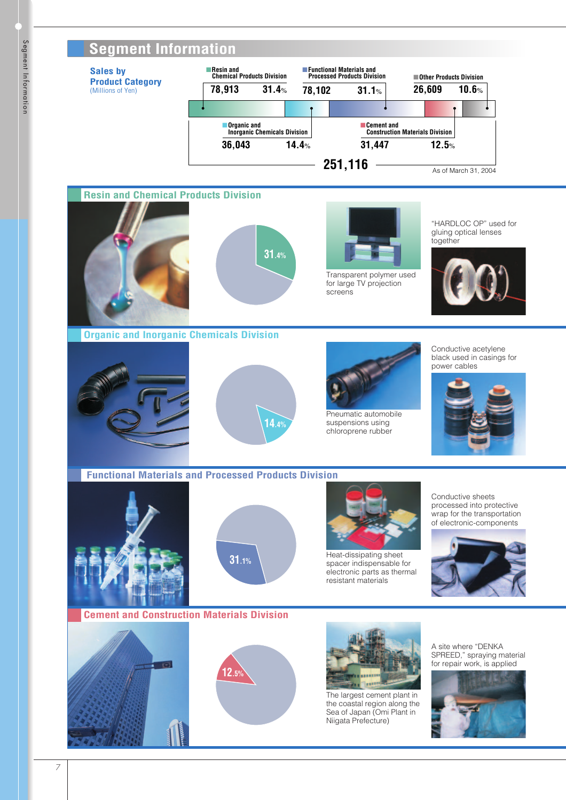# **Segment Information**

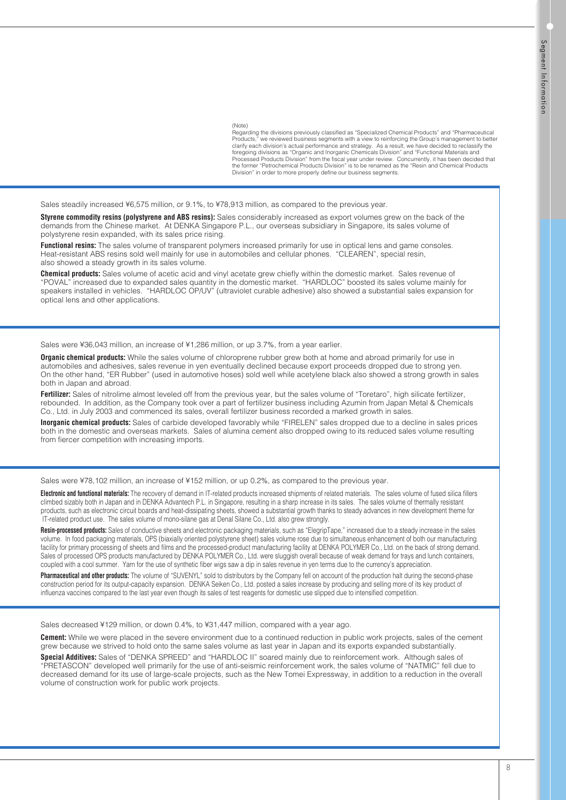(Note)

Regarding the divisions previously classified as "Specialized Chemical Products" and "Pharmaceutical Products," we reviewed business segments with a view to reinforcing the Group's management to better clarify each division's actual performance and strategy. As a result, we have decided to reclassify the<br>foregoing divisions as "Organic and Inorganic Chemicals Division" and "Functional Materials and Processed Products Division" from the fiscal year under review. Concurrently, it has been decided that the former "Petrochemical Products Division" is to be renamed as the "Resin and Chemical Products Division" in order to more properly define our business segments.

Sales steadily increased ¥6,575 million, or 9.1%, to ¥78,913 million, as compared to the previous year.

**Styrene commodity resins (polystyrene and ABS resins):** Sales considerably increased as export volumes grew on the back of the demands from the Chinese market. At DENKA Singapore P.L., our overseas subsidiary in Singapore, its sales volume of polystyrene resin expanded, with its sales price rising.

**Functional resins:** The sales volume of transparent polymers increased primarily for use in optical lens and game consoles. Heat-resistant ABS resins sold well mainly for use in automobiles and cellular phones. "CLEAREN", special resin, also showed a steady growth in its sales volume.

**Chemical products:** Sales volume of acetic acid and vinyl acetate grew chiefly within the domestic market. Sales revenue of "POVAL" increased due to expanded sales quantity in the domestic market. "HARDLOC" boosted its sales volume mainly for speakers installed in vehicles. "HARDLOC OP/UV" (ultraviolet curable adhesive) also showed a substantial sales expansion for optical lens and other applications.

Sales were ¥36,043 million, an increase of ¥1,286 million, or up 3.7%, from a year earlier.

**Organic chemical products:** While the sales volume of chloroprene rubber grew both at home and abroad primarily for use in automobiles and adhesives, sales revenue in yen eventually declined because export proceeds dropped due to strong yen. On the other hand, "ER Rubber" (used in automotive hoses) sold well while acetylene black also showed a strong growth in sales both in Japan and abroad.

**Fertilizer:** Sales of nitrolime almost leveled off from the previous year, but the sales volume of "Toretaro", high silicate fertilizer, rebounded. In addition, as the Company took over a part of fertilizer business including Azumin from Japan Metal & Chemicals Co., Ltd. in July 2003 and commenced its sales, overall fertilizer business recorded a marked growth in sales.

**Inorganic chemical products:** Sales of carbide developed favorably while "FIRELEN" sales dropped due to a decline in sales prices both in the domestic and overseas markets. Sales of alumina cement also dropped owing to its reduced sales volume resulting from fiercer competition with increasing imports.

Sales were ¥78,102 million, an increase of ¥152 million, or up 0.2%, as compared to the previous year.

**Electronic and functional materials:** The recovery of demand in IT-related products increased shipments of related materials. The sales volume of fused silica fillers climbed sizably both in Japan and in DENKA Advantech P.L. in Singapore, resulting in a sharp increase in its sales. The sales volume of thermally resistant products, such as electronic circuit boards and heat-dissipating sheets, showed a substantial growth thanks to steady advances in new development theme for IT-related product use. The sales volume of mono-silane gas at Denal Silane Co., Ltd. also grew strongly.

**Resin-processed products:** Sales of conductive sheets and electronic packaging materials, such as "ElegripTape," increased due to a steady increase in the sales volume. In food packaging materials, OPS (biaxially oriented polystyrene sheet) sales volume rose due to simultaneous enhancement of both our manufacturing facility for primary processing of sheets and films and the processed-product manufacturing facility at DENKA POLYMER Co., Ltd. on the back of strong demand. Sales of processed OPS products manufactured by DENKA POLYMER Co., Ltd. were sluggish overall because of weak demand for trays and lunch containers, coupled with a cool summer. Yarn for the use of synthetic fiber wigs saw a dip in sales revenue in yen terms due to the currency's appreciation.

**Pharmaceutical and other products:** The volume of "SUVENYL" sold to distributors by the Company fell on account of the production halt during the second-phase construction period for its output-capacity expansion. DENKA Seiken Co., Ltd. posted a sales increase by producing and selling more of its key product of influenza vaccines compared to the last year even though its sales of test reagents for domestic use slipped due to intensified competition.

Sales decreased ¥129 million, or down 0.4%, to ¥31,447 million, compared with a year ago.

**Cement:** While we were placed in the severe environment due to a continued reduction in public work projects, sales of the cement grew because we strived to hold onto the same sales volume as last year in Japan and its exports expanded substantially. **Special Additives:** Sales of "DENKA SPREED" and "HARDLOC II" soared mainly due to reinforcement work. Although sales of "PRETASCON" developed well primarily for the use of anti-seismic reinforcement work, the sales volume of "NATMIC" fell due to decreased demand for its use of large-scale projects, such as the New Tomei Expressway, in addition to a reduction in the overall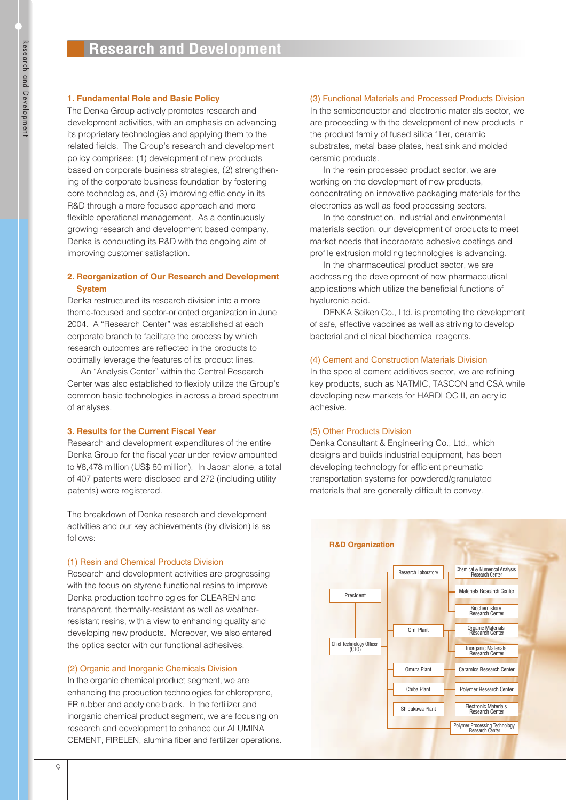# **1. Fundamental Role and Basic Policy**

The Denka Group actively promotes research and development activities, with an emphasis on advancing its proprietary technologies and applying them to the related fields. The Group's research and development policy comprises: (1) development of new products based on corporate business strategies, (2) strengthening of the corporate business foundation by fostering core technologies, and (3) improving efficiency in its R&D through a more focused approach and more flexible operational management. As a continuously growing research and development based company, Denka is conducting its R&D with the ongoing aim of improving customer satisfaction.

# **2. Reorganization of Our Research and Development System**

Denka restructured its research division into a more theme-focused and sector-oriented organization in June 2004. A "Research Center" was established at each corporate branch to facilitate the process by which research outcomes are reflected in the products to optimally leverage the features of its product lines.

An "Analysis Center" within the Central Research Center was also established to flexibly utilize the Group's common basic technologies in across a broad spectrum of analyses.

# **3. Results for the Current Fiscal Year**

Research and development expenditures of the entire Denka Group for the fiscal year under review amounted to ¥8,478 million (US\$ 80 million). In Japan alone, a total of 407 patents were disclosed and 272 (including utility patents) were registered.

The breakdown of Denka research and development activities and our key achievements (by division) is as follows:

# (1) Resin and Chemical Products Division

Research and development activities are progressing with the focus on styrene functional resins to improve Denka production technologies for CLEAREN and transparent, thermally-resistant as well as weatherresistant resins, with a view to enhancing quality and developing new products. Moreover, we also entered the optics sector with our functional adhesives.

# (2) Organic and Inorganic Chemicals Division

In the organic chemical product segment, we are enhancing the production technologies for chloroprene, ER rubber and acetylene black. In the fertilizer and inorganic chemical product segment, we are focusing on research and development to enhance our ALUMINA CEMENT, FIRELEN, alumina fiber and fertilizer operations.

# (3) Functional Materials and Processed Products Division

In the semiconductor and electronic materials sector, we are proceeding with the development of new products in the product family of fused silica filler, ceramic substrates, metal base plates, heat sink and molded ceramic products.

In the resin processed product sector, we are working on the development of new products, concentrating on innovative packaging materials for the electronics as well as food processing sectors.

In the construction, industrial and environmental materials section, our development of products to meet market needs that incorporate adhesive coatings and profile extrusion molding technologies is advancing.

In the pharmaceutical product sector, we are addressing the development of new pharmaceutical applications which utilize the beneficial functions of hyaluronic acid.

DENKA Seiken Co., Ltd. is promoting the development of safe, effective vaccines as well as striving to develop bacterial and clinical biochemical reagents.

# (4) Cement and Construction Materials Division

In the special cement additives sector, we are refining key products, such as NATMIC, TASCON and CSA while developing new markets for HARDLOC II, an acrylic adhesive.

# (5) Other Products Division

Denka Consultant & Engineering Co., Ltd., which designs and builds industrial equipment, has been developing technology for efficient pneumatic transportation systems for powdered/granulated materials that are generally difficult to convey.

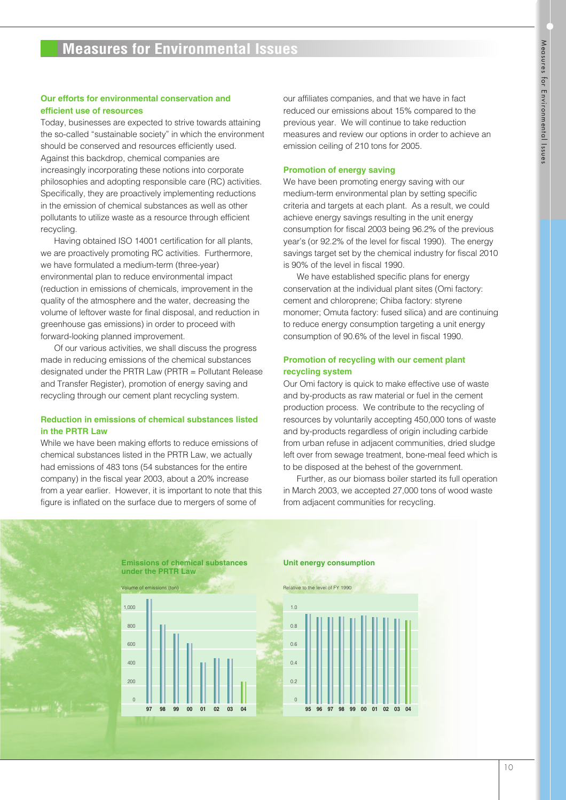# **Measures for Environmental Issues**

# **Our efforts for environmental conservation and efficient use of resources**

Today, businesses are expected to strive towards attaining the so-called "sustainable society" in which the environment should be conserved and resources efficiently used. Against this backdrop, chemical companies are increasingly incorporating these notions into corporate philosophies and adopting responsible care (RC) activities. Specifically, they are proactively implementing reductions in the emission of chemical substances as well as other pollutants to utilize waste as a resource through efficient recycling.

Having obtained ISO 14001 certification for all plants, we are proactively promoting RC activities. Furthermore, we have formulated a medium-term (three-year) environmental plan to reduce environmental impact (reduction in emissions of chemicals, improvement in the quality of the atmosphere and the water, decreasing the volume of leftover waste for final disposal, and reduction in greenhouse gas emissions) in order to proceed with forward-looking planned improvement.

Of our various activities, we shall discuss the progress made in reducing emissions of the chemical substances designated under the PRTR Law (PRTR = Pollutant Release and Transfer Register), promotion of energy saving and recycling through our cement plant recycling system.

# **Reduction in emissions of chemical substances listed in the PRTR Law**

While we have been making efforts to reduce emissions of chemical substances listed in the PRTR Law, we actually had emissions of 483 tons (54 substances for the entire company) in the fiscal year 2003, about a 20% increase from a year earlier. However, it is important to note that this figure is inflated on the surface due to mergers of some of

our affiliates companies, and that we have in fact reduced our emissions about 15% compared to the previous year. We will continue to take reduction measures and review our options in order to achieve an emission ceiling of 210 tons for 2005.

## **Promotion of energy saving**

We have been promoting energy saving with our medium-term environmental plan by setting specific criteria and targets at each plant. As a result, we could achieve energy savings resulting in the unit energy consumption for fiscal 2003 being 96.2% of the previous year's (or 92.2% of the level for fiscal 1990). The energy savings target set by the chemical industry for fiscal 2010 is 90% of the level in fiscal 1990.

We have established specific plans for energy conservation at the individual plant sites (Omi factory: cement and chloroprene; Chiba factory: styrene monomer; Omuta factory: fused silica) and are continuing to reduce energy consumption targeting a unit energy consumption of 90.6% of the level in fiscal 1990.

# **Promotion of recycling with our cement plant recycling system**

Our Omi factory is quick to make effective use of waste and by-products as raw material or fuel in the cement production process. We contribute to the recycling of resources by voluntarily accepting 450,000 tons of waste and by-products regardless of origin including carbide from urban refuse in adjacent communities, dried sludge left over from sewage treatment, bone-meal feed which is to be disposed at the behest of the government.

Further, as our biomass boiler started its full operation in March 2003, we accepted 27,000 tons of wood waste from adjacent communities for recycling.

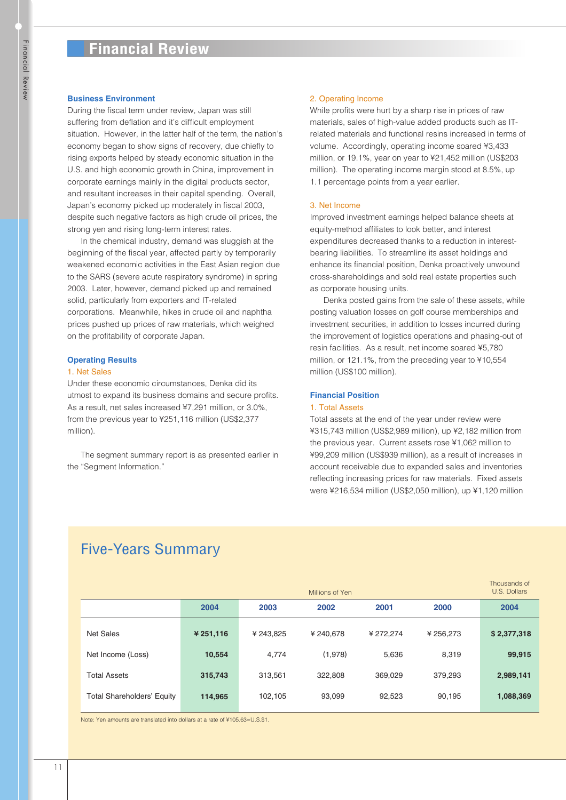## **Business Environment**

During the fiscal term under review, Japan was still suffering from deflation and it's difficult employment situation. However, in the latter half of the term, the nation's economy began to show signs of recovery, due chiefly to rising exports helped by steady economic situation in the U.S. and high economic growth in China, improvement in corporate earnings mainly in the digital products sector, and resultant increases in their capital spending. Overall, Japan's economy picked up moderately in fiscal 2003, despite such negative factors as high crude oil prices, the strong yen and rising long-term interest rates.

In the chemical industry, demand was sluggish at the beginning of the fiscal year, affected partly by temporarily weakened economic activities in the East Asian region due to the SARS (severe acute respiratory syndrome) in spring 2003. Later, however, demand picked up and remained solid, particularly from exporters and IT-related corporations. Meanwhile, hikes in crude oil and naphtha prices pushed up prices of raw materials, which weighed on the profitability of corporate Japan.

## **Operating Results**

## 1. Net Sales

Under these economic circumstances, Denka did its utmost to expand its business domains and secure profits. As a result, net sales increased ¥7,291 million, or 3.0%, from the previous year to ¥251,116 million (US\$2,377 million).

The segment summary report is as presented earlier in the "Segment Information."

## 2. Operating Income

While profits were hurt by a sharp rise in prices of raw materials, sales of high-value added products such as ITrelated materials and functional resins increased in terms of volume. Accordingly, operating income soared ¥3,433 million, or 19.1%, year on year to ¥21,452 million (US\$203 million). The operating income margin stood at 8.5%, up 1.1 percentage points from a year earlier.

## 3. Net Income

Improved investment earnings helped balance sheets at equity-method affiliates to look better, and interest expenditures decreased thanks to a reduction in interestbearing liabilities. To streamline its asset holdings and enhance its financial position, Denka proactively unwound cross-shareholdings and sold real estate properties such as corporate housing units.

Denka posted gains from the sale of these assets, while posting valuation losses on golf course memberships and investment securities, in addition to losses incurred during the improvement of logistics operations and phasing-out of resin facilities. As a result, net income soared ¥5,780 million, or 121.1%, from the preceding year to ¥10,554 million (US\$100 million).

# **Financial Position**

#### 1. Total Assets

Total assets at the end of the year under review were ¥315,743 million (US\$2,989 million), up ¥2,182 million from the previous year. Current assets rose ¥1,062 million to ¥99,209 million (US\$939 million), as a result of increases in account receivable due to expanded sales and inventories reflecting increasing prices for raw materials. Fixed assets were ¥216,534 million (US\$2,050 million), up ¥1,120 million

# Five-Years Summary

|                                   |           |           | Millions of Yen |           |           | Thousands of<br>U.S. Dollars |
|-----------------------------------|-----------|-----------|-----------------|-----------|-----------|------------------------------|
|                                   | 2004      | 2003      | 2002            | 2001      | 2000      | 2004                         |
| <b>Net Sales</b>                  | ¥ 251,116 | ¥ 243.825 | ¥240.678        | ¥ 272.274 | ¥ 256,273 | \$2,377,318                  |
| Net Income (Loss)                 | 10,554    | 4,774     | (1,978)         | 5,636     | 8,319     | 99,915                       |
| <b>Total Assets</b>               | 315,743   | 313.561   | 322,808         | 369,029   | 379,293   | 2,989,141                    |
| <b>Total Shareholders' Equity</b> | 114,965   | 102,105   | 93,099          | 92,523    | 90,195    | 1,088,369                    |

Note: Yen amounts are translated into dollars at a rate of ¥105.63=U.S.\$1.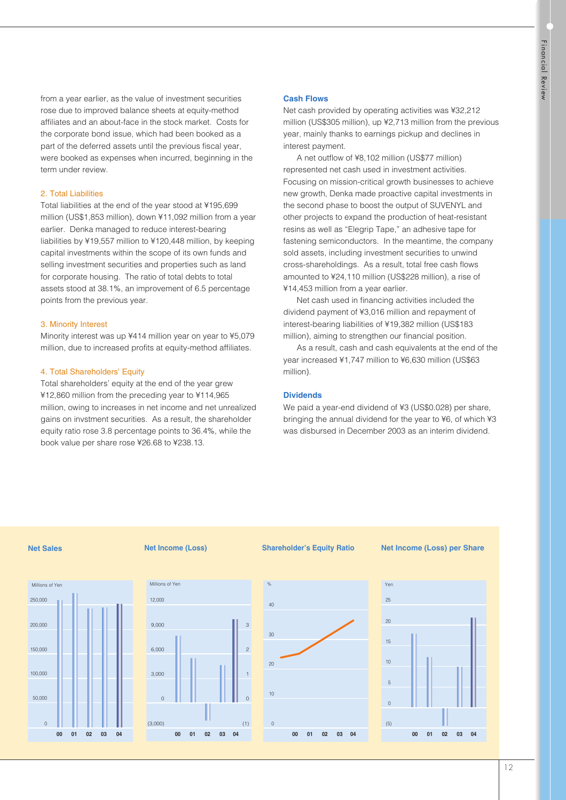from a year earlier, as the value of investment securities rose due to improved balance sheets at equity-method affiliates and an about-face in the stock market. Costs for the corporate bond issue, which had been booked as a part of the deferred assets until the previous fiscal year, were booked as expenses when incurred, beginning in the term under review.

# 2. Total Liabilities

Total liabilities at the end of the year stood at ¥195,699 million (US\$1,853 million), down ¥11,092 million from a year earlier. Denka managed to reduce interest-bearing liabilities by ¥19,557 million to ¥120,448 million, by keeping capital investments within the scope of its own funds and selling investment securities and properties such as land for corporate housing. The ratio of total debts to total assets stood at 38.1%, an improvement of 6.5 percentage points from the previous year.

## 3. Minority Interest

Minority interest was up ¥414 million year on year to ¥5,079 million, due to increased profits at equity-method affiliates.

# 4. Total Shareholders' Equity

Total shareholders' equity at the end of the year grew ¥12,860 million from the preceding year to ¥114,965 million, owing to increases in net income and net unrealized gains on invstment securities. As a result, the shareholder equity ratio rose 3.8 percentage points to 36.4%, while the book value per share rose ¥26.68 to ¥238.13.

# **Cash Flows**

Net cash provided by operating activities was ¥32,212 million (US\$305 million), up ¥2,713 million from the previous year, mainly thanks to earnings pickup and declines in interest payment.

A net outflow of ¥8,102 million (US\$77 million) represented net cash used in investment activities. Focusing on mission-critical growth businesses to achieve new growth, Denka made proactive capital investments in the second phase to boost the output of SUVENYL and other projects to expand the production of heat-resistant resins as well as "Elegrip Tape," an adhesive tape for fastening semiconductors. In the meantime, the company sold assets, including investment securities to unwind cross-shareholdings. As a result, total free cash flows amounted to ¥24,110 million (US\$228 million), a rise of ¥14,453 million from a year earlier.

Net cash used in financing activities included the dividend payment of ¥3,016 million and repayment of interest-bearing liabilities of ¥19,382 million (US\$183 million), aiming to strengthen our financial position.

As a result, cash and cash equivalents at the end of the year increased ¥1,747 million to ¥6,630 million (US\$63 million).

## **Dividends**

We paid a year-end dividend of ¥3 (US\$0.028) per share, bringing the annual dividend for the year to ¥6, of which ¥3 was disbursed in December 2003 as an interim dividend.

#### **Net Sales**



#### **Net Income (Loss)**

Millions of Yen

**00 01**

(3,000)

 $\overline{0}$ 

3,000

6,000

9,000

12,000

**02 03**

**04**



#### **Net Income (Loss) per Share**



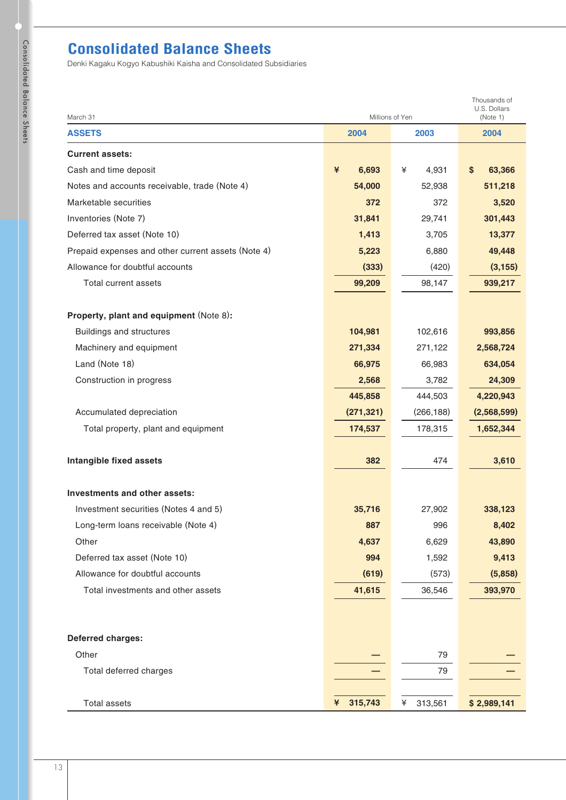# **Consolidated Balance Sheets**

| March 31                                           | Millions of Yen |              |              |  |
|----------------------------------------------------|-----------------|--------------|--------------|--|
| <b>ASSETS</b>                                      | 2004            | 2003         | 2004         |  |
| <b>Current assets:</b>                             |                 |              |              |  |
| Cash and time deposit                              | ¥<br>6,693      | ¥<br>4,931   | \$<br>63,366 |  |
| Notes and accounts receivable, trade (Note 4)      | 54,000          | 52,938       | 511,218      |  |
| Marketable securities                              | 372             | 372          | 3,520        |  |
| Inventories (Note 7)                               | 31,841          | 29,741       | 301,443      |  |
| Deferred tax asset (Note 10)                       | 1,413           | 3,705        | 13,377       |  |
| Prepaid expenses and other current assets (Note 4) | 5,223           | 6,880        | 49,448       |  |
| Allowance for doubtful accounts                    | (333)           | (420)        | (3, 155)     |  |
| Total current assets                               | 99,209          | 98,147       | 939,217      |  |
|                                                    |                 |              |              |  |
| Property, plant and equipment (Note 8):            |                 |              |              |  |
| <b>Buildings and structures</b>                    | 104,981         | 102,616      | 993,856      |  |
| Machinery and equipment                            | 271,334         | 271,122      | 2,568,724    |  |
| Land (Note 18)                                     | 66,975          | 66,983       | 634,054      |  |
| Construction in progress                           | 2,568           | 3,782        | 24,309       |  |
|                                                    | 445,858         | 444,503      | 4,220,943    |  |
| Accumulated depreciation                           | (271, 321)      | (266, 188)   | (2,568,599)  |  |
| Total property, plant and equipment                | 174,537         | 178,315      | 1,652,344    |  |
| Intangible fixed assets                            | 382             | 474          | 3,610        |  |
| Investments and other assets:                      |                 |              |              |  |
| Investment securities (Notes 4 and 5)              | 35,716          | 27,902       | 338,123      |  |
| Long-term loans receivable (Note 4)                | 887             | 996          | 8,402        |  |
| Other                                              | 4,637           | 6,629        | 43,890       |  |
| Deferred tax asset (Note 10)                       | 994             | 1,592        | 9,413        |  |
| Allowance for doubtful accounts                    | (619)           | (573)        | (5,858)      |  |
| Total investments and other assets                 | 41,615          | 36,546       | 393,970      |  |
|                                                    |                 |              |              |  |
|                                                    |                 |              |              |  |
| Deferred charges:                                  |                 |              |              |  |
| Other                                              |                 | 79           |              |  |
| Total deferred charges                             |                 | 79           |              |  |
| <b>Total assets</b>                                | 315,743<br>¥    | 313,561<br>¥ | \$2,989,141  |  |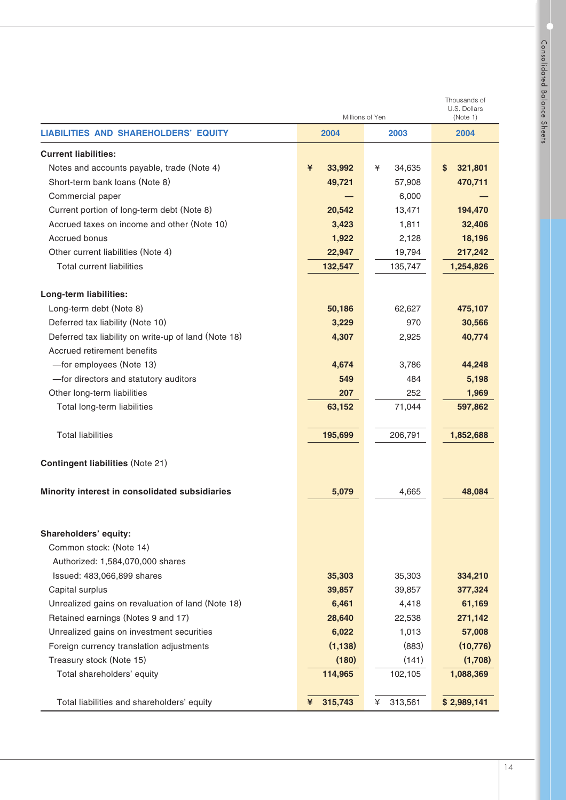| petpblicked   |  |
|---------------|--|
| ballance      |  |
| <b>Sheets</b> |  |

|                                                      |              | Millions of Yen |               |  |  |
|------------------------------------------------------|--------------|-----------------|---------------|--|--|
| <b>LIABILITIES AND SHAREHOLDERS' EQUITY</b>          | 2004<br>2003 |                 | 2004          |  |  |
| <b>Current liabilities:</b>                          |              |                 |               |  |  |
| Notes and accounts payable, trade (Note 4)           | ¥<br>33,992  | ¥<br>34,635     | 321,801<br>S. |  |  |
| Short-term bank loans (Note 8)                       | 49,721       | 57,908          | 470,711       |  |  |
| Commercial paper                                     |              | 6.000           |               |  |  |
| Current portion of long-term debt (Note 8)           | 20,542       | 13,471          | 194,470       |  |  |
| Accrued taxes on income and other (Note 10)          | 3,423        | 1,811           | 32,406        |  |  |
| Accrued bonus                                        | 1,922        | 2,128           | 18,196        |  |  |
| Other current liabilities (Note 4)                   | 22,947       | 19,794          | 217,242       |  |  |
| <b>Total current liabilities</b>                     | 132,547      | 135,747         | 1,254,826     |  |  |
| Long-term liabilities:                               |              |                 |               |  |  |
| Long-term debt (Note 8)                              | 50,186       | 62,627          | 475,107       |  |  |
| Deferred tax liability (Note 10)                     | 3,229        | 970             | 30,566        |  |  |
| Deferred tax liability on write-up of land (Note 18) | 4,307        | 2,925           | 40,774        |  |  |
| Accrued retirement benefits                          |              |                 |               |  |  |
| -for employees (Note 13)                             | 4,674        | 3,786           | 44,248        |  |  |
| -for directors and statutory auditors                | 549          | 484             | 5,198         |  |  |
| Other long-term liabilities                          | 207          | 252             | 1,969         |  |  |
| Total long-term liabilities                          | 63,152       | 71,044          | 597,862       |  |  |
| <b>Total liabilities</b>                             | 195,699      | 206,791         | 1,852,688     |  |  |
| <b>Contingent liabilities (Note 21)</b>              |              |                 |               |  |  |
| Minority interest in consolidated subsidiaries       | 5,079        | 4,665           | 48,084        |  |  |
|                                                      |              |                 |               |  |  |
| Shareholders' equity:                                |              |                 |               |  |  |
| Common stock: (Note 14)                              |              |                 |               |  |  |
| Authorized: 1,584,070,000 shares                     |              |                 |               |  |  |
| Issued: 483,066,899 shares                           | 35,303       | 35,303          | 334,210       |  |  |
| Capital surplus                                      | 39,857       | 39,857          | 377,324       |  |  |
| Unrealized gains on revaluation of land (Note 18)    | 6,461        | 4,418           | 61,169        |  |  |
| Retained earnings (Notes 9 and 17)                   | 28,640       | 22,538          | 271,142       |  |  |
| Unrealized gains on investment securities            | 6,022        | 1,013           | 57,008        |  |  |
| Foreign currency translation adjustments             | (1, 138)     | (883)           | (10, 776)     |  |  |
| Treasury stock (Note 15)                             | (180)        | (141)           | (1,708)       |  |  |
| Total shareholders' equity                           | 114,965      | 102,105         | 1,088,369     |  |  |
| Total liabilities and shareholders' equity           | 315,743<br>¥ | ¥<br>313,561    | \$2,989,141   |  |  |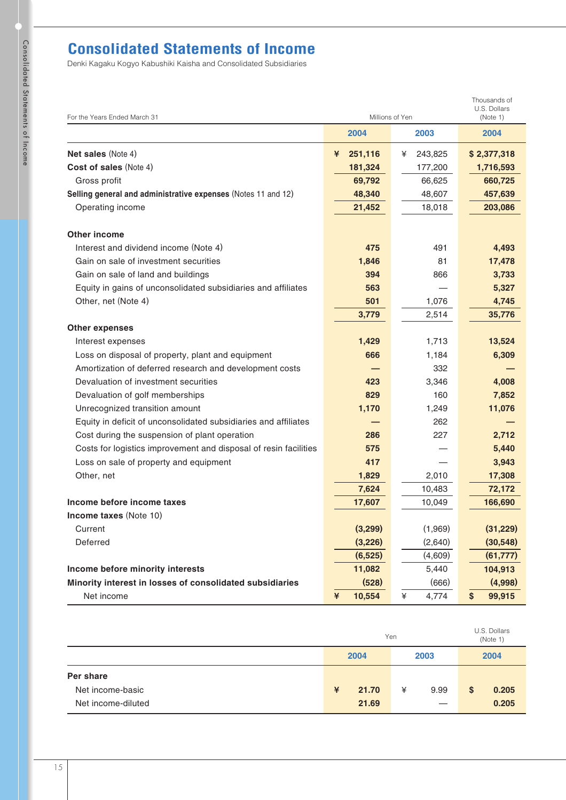# **Consolidated Statements of Income**

| For the Years Ended March 31                                     | Millions of Yen | Thousands of<br>U.S. Dollars<br>(Note 1) |              |
|------------------------------------------------------------------|-----------------|------------------------------------------|--------------|
|                                                                  | 2004            | 2003                                     | 2004         |
| <b>Net sales (Note 4)</b>                                        | 251,116<br>¥    | 243,825<br>¥                             | \$2,377,318  |
| <b>Cost of sales (Note 4)</b>                                    | 181,324         | 177,200                                  | 1,716,593    |
| Gross profit                                                     | 69,792          | 66,625                                   | 660,725      |
| Selling general and administrative expenses (Notes 11 and 12)    | 48,340          | 48,607                                   | 457,639      |
| Operating income                                                 | 21,452          | 18,018                                   | 203,086      |
| <b>Other income</b>                                              |                 |                                          |              |
| Interest and dividend income (Note 4)                            | 475             | 491                                      | 4,493        |
| Gain on sale of investment securities                            | 1,846           | 81                                       | 17,478       |
| Gain on sale of land and buildings                               | 394             | 866                                      | 3,733        |
| Equity in gains of unconsolidated subsidiaries and affiliates    | 563             |                                          | 5,327        |
| Other, net (Note 4)                                              | 501             | 1,076                                    | 4,745        |
|                                                                  | 3,779           | 2,514                                    | 35,776       |
| <b>Other expenses</b>                                            |                 |                                          |              |
| Interest expenses                                                | 1,429           | 1,713                                    | 13,524       |
| Loss on disposal of property, plant and equipment                | 666             | 1,184                                    | 6,309        |
| Amortization of deferred research and development costs          |                 | 332                                      |              |
| Devaluation of investment securities                             | 423             | 3,346                                    | 4,008        |
| Devaluation of golf memberships                                  | 829             | 160                                      | 7,852        |
| Unrecognized transition amount                                   | 1,170           | 1,249                                    | 11,076       |
| Equity in deficit of unconsolidated subsidiaries and affiliates  |                 | 262                                      |              |
| Cost during the suspension of plant operation                    | 286             | 227                                      | 2,712        |
| Costs for logistics improvement and disposal of resin facilities | 575             |                                          | 5,440        |
| Loss on sale of property and equipment                           | 417             |                                          | 3,943        |
| Other, net                                                       | 1,829           | 2,010                                    | 17,308       |
|                                                                  | 7,624           | 10,483                                   | 72,172       |
| Income before income taxes                                       | 17,607          | 10,049                                   | 166,690      |
| <b>Income taxes</b> (Note 10)                                    |                 |                                          |              |
| Current                                                          | (3,299)         | (1,969)                                  | (31, 229)    |
| Deferred                                                         | (3,226)         | (2,640)                                  | (30, 548)    |
|                                                                  | (6, 525)        | (4,609)                                  | (61, 777)    |
| Income before minority interests                                 | 11,082          | 5,440                                    | 104,913      |
| Minority interest in losses of consolidated subsidiaries         | (528)           | (666)                                    | (4,998)      |
| Net income                                                       | ¥<br>10,554     | ¥<br>4,774                               | \$<br>99,915 |

|                    | Yen          |       |      |      | U.S. Dollars<br>(Note 1) |       |  |
|--------------------|--------------|-------|------|------|--------------------------|-------|--|
|                    | 2004<br>2003 |       | 2004 |      |                          |       |  |
| Per share          |              |       |      |      |                          |       |  |
| Net income-basic   | $\ast$       | 21.70 | ¥    | 9.99 | $\mathbf{s}$             | 0.205 |  |
| Net income-diluted |              | 21.69 |      | —    |                          | 0.205 |  |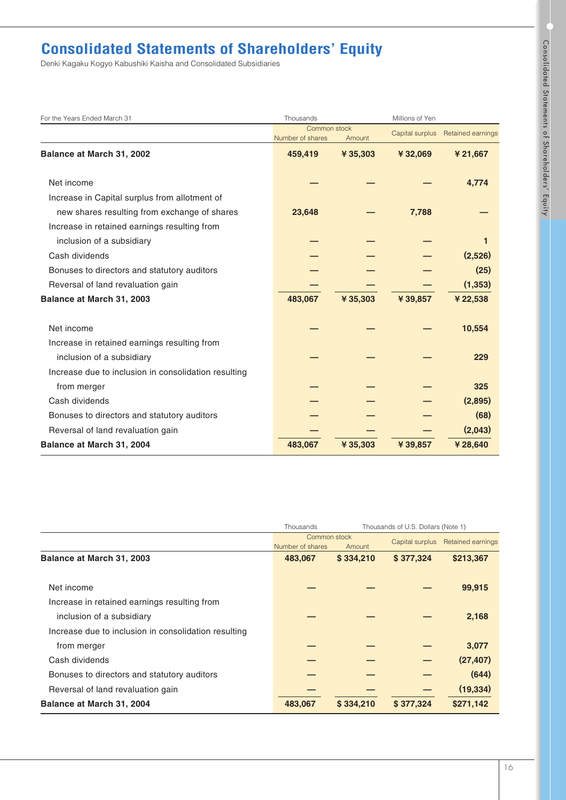# **Consolidated Statements of Shareholders' Equity**

| For the Years Ended March 31                         | Thousands                        |          | Millions of Yen |                   |  |
|------------------------------------------------------|----------------------------------|----------|-----------------|-------------------|--|
|                                                      | Common stock<br>Number of shares | Amount   | Capital surplus | Retained earnings |  |
| Balance at March 31, 2002                            | 459,419                          | ¥ 35,303 | ¥32,069         | ¥21,667           |  |
| Net income                                           |                                  |          |                 | 4.774             |  |
| Increase in Capital surplus from allotment of        |                                  |          |                 |                   |  |
| new shares resulting from exchange of shares         | 23,648                           |          | 7,788           |                   |  |
| Increase in retained earnings resulting from         |                                  |          |                 |                   |  |
| inclusion of a subsidiary                            |                                  |          |                 |                   |  |
| Cash dividends                                       |                                  |          |                 | (2,526)           |  |
| Bonuses to directors and statutory auditors          |                                  |          |                 | (25)              |  |
| Reversal of land revaluation gain                    |                                  |          |                 | (1, 353)          |  |
| Balance at March 31, 2003                            | 483,067                          | ¥35,303  | ¥39,857         | ¥22,538           |  |
| Net income                                           |                                  |          |                 | 10,554            |  |
| Increase in retained earnings resulting from         |                                  |          |                 |                   |  |
| inclusion of a subsidiary                            |                                  |          |                 | 229               |  |
| Increase due to inclusion in consolidation resulting |                                  |          |                 |                   |  |
| from merger                                          |                                  |          |                 | 325               |  |
| Cash dividends                                       |                                  |          |                 | (2,895)           |  |
| Bonuses to directors and statutory auditors          |                                  |          |                 | (68)              |  |
| Reversal of land revaluation gain                    |                                  |          |                 | (2,043)           |  |
| Balance at March 31, 2004                            | 483,067                          | ¥35,303  | ¥39,857         | ¥28,640           |  |

|                                                      | Thousands of U.S. Dollars (Note 1)<br>Thousands |           |                 |                          |  |
|------------------------------------------------------|-------------------------------------------------|-----------|-----------------|--------------------------|--|
|                                                      | Common stock                                    |           | Capital surplus | <b>Retained earnings</b> |  |
|                                                      | Number of shares                                | Amount    |                 |                          |  |
| Balance at March 31, 2003                            | 483,067                                         | \$334,210 | \$377,324       | \$213,367                |  |
| Net income                                           |                                                 |           |                 | 99,915                   |  |
| Increase in retained earnings resulting from         |                                                 |           |                 |                          |  |
| inclusion of a subsidiary                            |                                                 |           |                 | 2,168                    |  |
| Increase due to inclusion in consolidation resulting |                                                 |           |                 |                          |  |
| from merger                                          |                                                 |           |                 | 3,077                    |  |
| Cash dividends                                       |                                                 |           |                 | (27, 407)                |  |
| Bonuses to directors and statutory auditors          |                                                 |           |                 | (644)                    |  |
| Reversal of land revaluation gain                    |                                                 |           |                 | (19, 334)                |  |
| Balance at March 31, 2004                            | 483,067                                         | \$334,210 | \$377,324       | \$271,142                |  |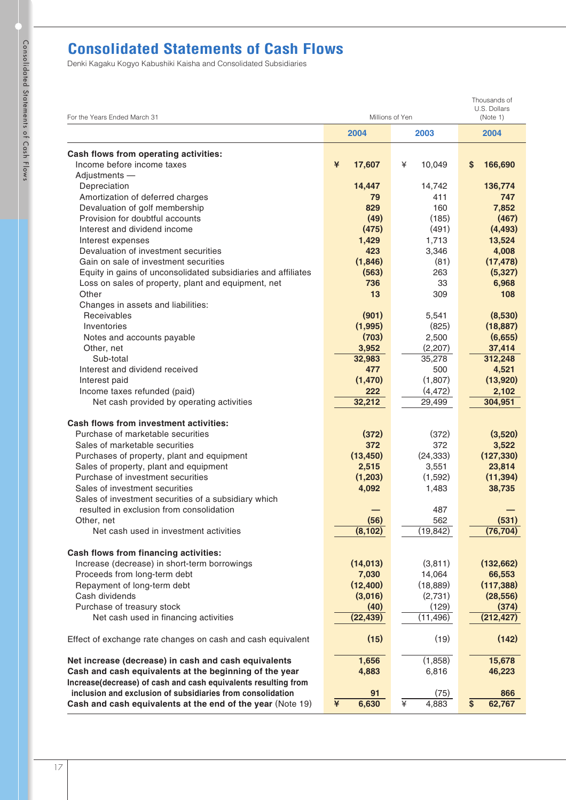# **Consolidated Statements of Cash Flows**

| For the Years Ended March 31                                   | Millions of Yen | Thousands of<br>U.S. Dollars<br>(Note 1) |              |
|----------------------------------------------------------------|-----------------|------------------------------------------|--------------|
|                                                                | 2004            | 2003                                     | 2004         |
| Cash flows from operating activities:                          |                 |                                          |              |
| Income before income taxes                                     | 17,607<br>¥     | 10,049<br>¥                              | S<br>166,690 |
| Adjustments -                                                  |                 |                                          |              |
| Depreciation                                                   | 14,447          | 14,742                                   | 136,774      |
| Amortization of deferred charges                               | 79              | 411                                      | 747          |
| Devaluation of golf membership                                 | 829             | 160                                      | 7,852        |
| Provision for doubtful accounts                                | (49)            | (185)                                    | (467)        |
| Interest and dividend income                                   | (475)           | (491)                                    | (4, 493)     |
| Interest expenses                                              | 1,429           | 1,713                                    | 13,524       |
| Devaluation of investment securities                           | 423             | 3,346                                    | 4,008        |
| Gain on sale of investment securities                          | (1,846)         | (81)                                     | (17, 478)    |
| Equity in gains of unconsolidated subsidiaries and affiliates  | (563)           | 263                                      | (5,327)      |
| Loss on sales of property, plant and equipment, net            | 736             | 33                                       | 6,968        |
| Other                                                          | 13              | 309                                      | 108          |
| Changes in assets and liabilities:                             |                 |                                          |              |
| Receivables                                                    | (901)           | 5,541                                    | (8,530)      |
| Inventories                                                    | (1,995)         | (825)                                    | (18, 887)    |
| Notes and accounts payable                                     | (703)           | 2,500                                    | (6,655)      |
| Other, net                                                     | 3,952           | (2,207)                                  | 37,414       |
| Sub-total                                                      | 32,983          | 35,278                                   | 312,248      |
| Interest and dividend received                                 | 477             | 500                                      | 4,521        |
| Interest paid                                                  | (1, 470)        | (1,807)                                  | (13,920)     |
| Income taxes refunded (paid)                                   | 222             | (4, 472)                                 | 2,102        |
| Net cash provided by operating activities                      | 32,212          | 29,499                                   | 304,951      |
|                                                                |                 |                                          |              |
| <b>Cash flows from investment activities:</b>                  |                 |                                          |              |
| Purchase of marketable securities                              | (372)           | (372)                                    | (3,520)      |
| Sales of marketable securities                                 | 372             | 372                                      | 3,522        |
| Purchases of property, plant and equipment                     | (13, 450)       | (24, 333)                                | (127, 330)   |
| Sales of property, plant and equipment                         | 2,515           | 3,551                                    | 23,814       |
| Purchase of investment securities                              | (1,203)         | (1,592)                                  | (11, 394)    |
| Sales of investment securities                                 | 4,092           | 1,483                                    | 38,735       |
| Sales of investment securities of a subsidiary which           |                 |                                          |              |
| resulted in exclusion from consolidation                       |                 | 487                                      |              |
| Other, net                                                     | (56)            | 562                                      | (531)        |
| Net cash used in investment activities                         | (8, 102)        | (19, 842)                                | (76, 704)    |
|                                                                |                 |                                          |              |
| Cash flows from financing activities:                          |                 |                                          |              |
| Increase (decrease) in short-term borrowings                   | (14, 013)       | (3,811)                                  | (132, 662)   |
| Proceeds from long-term debt                                   | 7,030           | 14,064                                   | 66,553       |
| Repayment of long-term debt                                    | (12, 400)       | (18, 889)                                | (117, 388)   |
| Cash dividends                                                 | (3,016)         | (2,731)                                  | (28, 556)    |
| Purchase of treasury stock                                     | (40)            | (129)                                    | (374)        |
| Net cash used in financing activities                          | (22, 439)       | (11, 496)                                | (212, 427)   |
|                                                                |                 |                                          |              |
| Effect of exchange rate changes on cash and cash equivalent    | (15)            | (19)                                     | (142)        |
| Net increase (decrease) in cash and cash equivalents           | 1,656           | (1,858)                                  | 15,678       |
| Cash and cash equivalents at the beginning of the year         | 4,883           | 6,816                                    | 46,223       |
| Increase(decrease) of cash and cash equivalents resulting from |                 |                                          |              |
| inclusion and exclusion of subsidiaries from consolidation     | 91              | (75)                                     | 866          |
| Cash and cash equivalents at the end of the year (Note 19)     | 6,630<br>¥      | ¥<br>4,883                               | \$<br>62,767 |
|                                                                |                 |                                          |              |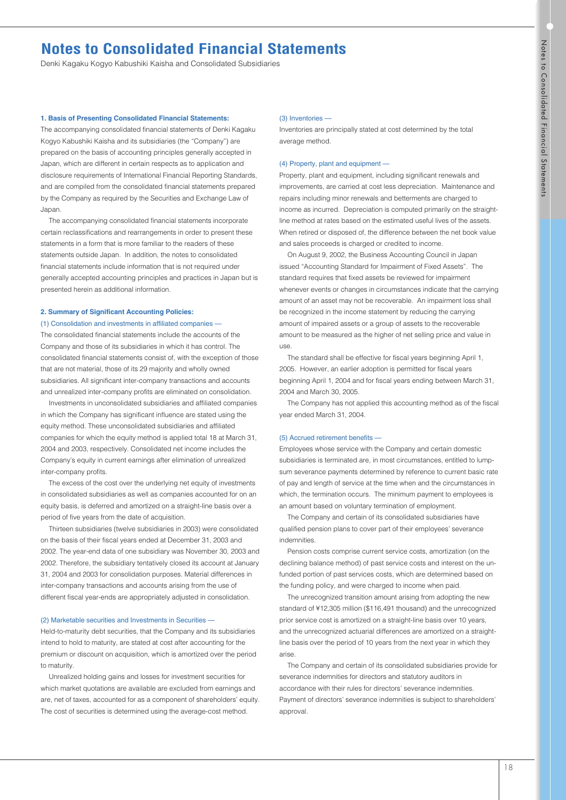# **Notes to Consolidated Financial Statements**

Denki Kagaku Kogyo Kabushiki Kaisha and Consolidated Subsidiaries

### **1. Basis of Presenting Consolidated Financial Statements:**

The accompanying consolidated financial statements of Denki Kagaku Kogyo Kabushiki Kaisha and its subsidiaries (the "Company") are prepared on the basis of accounting principles generally accepted in Japan, which are different in certain respects as to application and disclosure requirements of International Financial Reporting Standards, and are compiled from the consolidated financial statements prepared by the Company as required by the Securities and Exchange Law of Japan.

The accompanying consolidated financial statements incorporate certain reclassifications and rearrangements in order to present these statements in a form that is more familiar to the readers of these statements outside Japan. In addition, the notes to consolidated financial statements include information that is not required under generally accepted accounting principles and practices in Japan but is presented herein as additional information.

# **2. Summary of Significant Accounting Policies:**

(1) Consolidation and investments in affiliated companies —

The consolidated financial statements include the accounts of the Company and those of its subsidiaries in which it has control. The consolidated financial statements consist of, with the exception of those that are not material, those of its 29 majority and wholly owned subsidiaries. All significant inter-company transactions and accounts and unrealized inter-company profits are eliminated on consolidation.

Investments in unconsolidated subsidiaries and affiliated companies in which the Company has significant influence are stated using the equity method. These unconsolidated subsidiaries and affiliated companies for which the equity method is applied total 18 at March 31, 2004 and 2003, respectively. Consolidated net income includes the Company's equity in current earnings after elimination of unrealized inter-company profits.

The excess of the cost over the underlying net equity of investments in consolidated subsidiaries as well as companies accounted for on an equity basis, is deferred and amortized on a straight-line basis over a period of five years from the date of acquisition.

Thirteen subsidiaries (twelve subsidiaries in 2003) were consolidated on the basis of their fiscal years ended at December 31, 2003 and 2002. The year-end data of one subsidiary was November 30, 2003 and 2002. Therefore, the subsidiary tentatively closed its account at January 31, 2004 and 2003 for consolidation purposes. Material differences in inter-company transactions and accounts arising from the use of different fiscal year-ends are appropriately adjusted in consolidation.

## (2) Marketable securities and Investments in Securities —

Held-to-maturity debt securities, that the Company and its subsidiaries intend to hold to maturity, are stated at cost after accounting for the premium or discount on acquisition, which is amortized over the period to maturity.

Unrealized holding gains and losses for investment securities for which market quotations are available are excluded from earnings and are, net of taxes, accounted for as a component of shareholders' equity. The cost of securities is determined using the average-cost method.

#### (3) Inventories —

Inventories are principally stated at cost determined by the total average method.

#### (4) Property, plant and equipment —

Property, plant and equipment, including significant renewals and improvements, are carried at cost less depreciation. Maintenance and repairs including minor renewals and betterments are charged to income as incurred. Depreciation is computed primarily on the straightline method at rates based on the estimated useful lives of the assets. When retired or disposed of, the difference between the net book value and sales proceeds is charged or credited to income.

On August 9, 2002, the Business Accounting Council in Japan issued "Accounting Standard for Impairment of Fixed Assets". The standard requires that fixed assets be reviewed for impairment whenever events or changes in circumstances indicate that the carrying amount of an asset may not be recoverable. An impairment loss shall be recognized in the income statement by reducing the carrying amount of impaired assets or a group of assets to the recoverable amount to be measured as the higher of net selling price and value in use.

The standard shall be effective for fiscal years beginning April 1, 2005. However, an earlier adoption is permitted for fiscal years beginning April 1, 2004 and for fiscal years ending between March 31, 2004 and March 30, 2005.

The Company has not applied this accounting method as of the fiscal year ended March 31, 2004.

#### (5) Accrued retirement benefits

Employees whose service with the Company and certain domestic subsidiaries is terminated are, in most circumstances, entitled to lumpsum severance payments determined by reference to current basic rate of pay and length of service at the time when and the circumstances in which, the termination occurs. The minimum payment to employees is an amount based on voluntary termination of employment.

The Company and certain of its consolidated subsidiaries have qualified pension plans to cover part of their employees' severance indemnities.

Pension costs comprise current service costs, amortization (on the declining balance method) of past service costs and interest on the unfunded portion of past services costs, which are determined based on the funding policy, and were charged to income when paid.

The unrecognized transition amount arising from adopting the new standard of ¥12,305 million (\$116,491 thousand) and the unrecognized prior service cost is amortized on a straight-line basis over 10 years, and the unrecognized actuarial differences are amortized on a straightline basis over the period of 10 years from the next year in which they arise.

The Company and certain of its consolidated subsidiaries provide for severance indemnities for directors and statutory auditors in accordance with their rules for directors' severance indemnities. Payment of directors' severance indemnities is subject to shareholders' approval.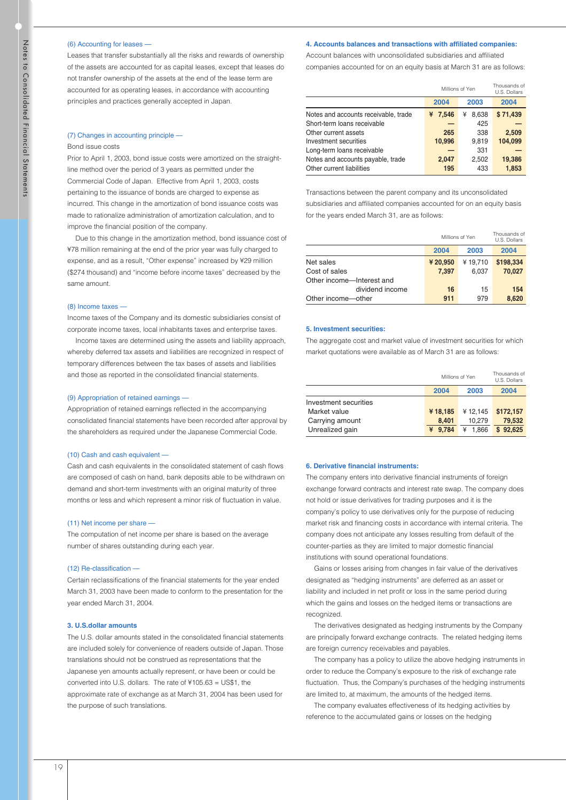#### (6) Accounting for leases —

Leases that transfer substantially all the risks and rewards of ownership of the assets are accounted for as capital leases, except that leases do not transfer ownership of the assets at the end of the lease term are accounted for as operating leases, in accordance with accounting principles and practices generally accepted in Japan.

#### (7) Changes in accounting principle —

#### Bond issue costs

Prior to April 1, 2003, bond issue costs were amortized on the straightline method over the period of 3 years as permitted under the Commercial Code of Japan. Effective from April 1, 2003, costs pertaining to the issuance of bonds are charged to expense as incurred. This change in the amortization of bond issuance costs was made to rationalize administration of amortization calculation, and to improve the financial position of the company.

Due to this change in the amortization method, bond issuance cost of ¥78 million remaining at the end of the prior year was fully charged to expense, and as a result, "Other expense" increased by ¥29 million (\$274 thousand) and "income before income taxes" decreased by the same amount.

#### (8) Income taxes —

Income taxes of the Company and its domestic subsidiaries consist of corporate income taxes, local inhabitants taxes and enterprise taxes.

Income taxes are determined using the assets and liability approach, whereby deferred tax assets and liabilities are recognized in respect of temporary differences between the tax bases of assets and liabilities and those as reported in the consolidated financial statements.

#### (9) Appropriation of retained earnings —

Appropriation of retained earnings reflected in the accompanying consolidated financial statements have been recorded after approval by the shareholders as required under the Japanese Commercial Code.

#### (10) Cash and cash equivalent —

Cash and cash equivalents in the consolidated statement of cash flows are composed of cash on hand, bank deposits able to be withdrawn on demand and short-term investments with an original maturity of three months or less and which represent a minor risk of fluctuation in value.

#### (11) Net income per share —

The computation of net income per share is based on the average number of shares outstanding during each year.

#### (12) Re-classification —

Certain reclassifications of the financial statements for the year ended March 31, 2003 have been made to conform to the presentation for the year ended March 31, 2004.

#### **3. U.S.dollar amounts**

The U.S. dollar amounts stated in the consolidated financial statements are included solely for convenience of readers outside of Japan. Those translations should not be construed as representations that the Japanese yen amounts actually represent, or have been or could be converted into U.S. dollars. The rate of ¥105.63 = US\$1, the approximate rate of exchange as at March 31, 2004 has been used for the purpose of such translations.

#### **4. Accounts balances and transactions with affiliated companies:**

Account balances with unconsolidated subsidiaries and affiliated companies accounted for on an equity basis at March 31 are as follows:

|                                      | Millions of Yen | Thousands of<br>U.S. Dollars |          |
|--------------------------------------|-----------------|------------------------------|----------|
|                                      | 2004            | 2003                         | 2004     |
| Notes and accounts receivable, trade | 7.546<br>¥      | 8.638<br>¥                   | \$71.439 |
| Short-term loans receivable          |                 | 425                          |          |
| Other current assets                 | 265             | 338                          | 2,509    |
| Investment securities                | 10,996          | 9.819                        | 104.099  |
| Long-term loans receivable           |                 | 331                          |          |
| Notes and accounts payable, trade    | 2,047           | 2,502                        | 19,386   |
| Other current liabilities            | 195             | 433                          | 1,853    |

Transactions between the parent company and its unconsolidated subsidiaries and affiliated companies accounted for on an equity basis for the years ended March 31, are as follows:

|                           | Millions of Yen | Thousands of<br>U.S. Dollars |           |
|---------------------------|-----------------|------------------------------|-----------|
|                           | 2004            | 2003                         | 2004      |
| Net sales                 | ¥20,950         | ¥19.710                      | \$198,334 |
| Cost of sales             | 7.397           | 6.037                        | 70.027    |
| Other income-Interest and |                 |                              |           |
| dividend income           | 16              | 15                           | 154       |
| Other income-other        | 911             | 979                          | 8,620     |

#### **5. Investment securities:**

The aggregate cost and market value of investment securities for which market quotations were available as of March 31 are as follows:

|                       | Millions of Yen | Thousands of<br>U.S. Dollars |           |
|-----------------------|-----------------|------------------------------|-----------|
|                       | 2004            | 2003                         | 2004      |
| Investment securities |                 |                              |           |
| Market value          | ¥18,185         | ¥12,145                      | \$172,157 |
| Carrying amount       | 8,401           | 10.279                       | 79,532    |
| Unrealized gain       | 9.784<br>¥      | 1.866<br>¥                   | \$92.625  |

#### **6. Derivative financial instruments:**

The company enters into derivative financial instruments of foreign exchange forward contracts and interest rate swap. The company does not hold or issue derivatives for trading purposes and it is the company's policy to use derivatives only for the purpose of reducing market risk and financing costs in accordance with internal criteria. The company does not anticipate any losses resulting from default of the counter-parties as they are limited to major domestic financial institutions with sound operational foundations.

Gains or losses arising from changes in fair value of the derivatives designated as "hedging instruments" are deferred as an asset or liability and included in net profit or loss in the same period during which the gains and losses on the hedged items or transactions are recognized.

The derivatives designated as hedging instruments by the Company are principally forward exchange contracts. The related hedging items are foreign currency receivables and payables.

The company has a policy to utilize the above hedging instruments in order to reduce the Company's exposure to the risk of exchange rate fluctuation. Thus, the Company's purchases of the hedging instruments are limited to, at maximum, the amounts of the hedged items.

The company evaluates effectiveness of its hedging activities by reference to the accumulated gains or losses on the hedging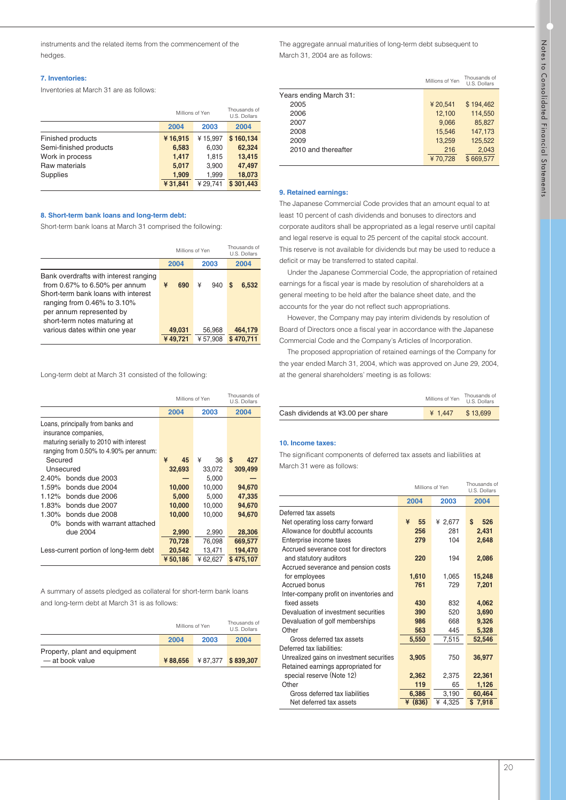instruments and the related items from the commencement of the hedges.

# **7. Inventories:**

Inventories at March 31 are as follows:

|                        | Millions of Yen | Thousands of<br>U.S. Dollars |           |
|------------------------|-----------------|------------------------------|-----------|
|                        | 2004            | 2003                         | 2004      |
| Finished products      | ¥16,915         | ¥15.997                      | \$160,134 |
| Semi-finished products | 6,583           | 6,030                        | 62.324    |
| Work in process        | 1,417           | 1.815                        | 13,415    |
| Raw materials          | 5,017           | 3,900                        | 47,497    |
| Supplies               | 1,909           | 1,999                        | 18,073    |
|                        | ¥31,841         | ¥29.741                      | \$301,443 |

## **8. Short-term bank loans and long-term debt:**

Short-term bank loans at March 31 comprised the following:

|                                                                                                                                                                                                          |   | Millions of Yen |   |         | Thousands of<br>U.S. Dollars |           |
|----------------------------------------------------------------------------------------------------------------------------------------------------------------------------------------------------------|---|-----------------|---|---------|------------------------------|-----------|
|                                                                                                                                                                                                          |   | 2004            |   | 2003    |                              | 2004      |
| Bank overdrafts with interest ranging<br>from 0.67% to 6.50% per annum<br>Short-term bank loans with interest<br>ranging from 0.46% to 3.10%<br>per annum represented by<br>short-term notes maturing at | ¥ | 690             | ¥ | 940     | S                            | 6,532     |
| various dates within one year                                                                                                                                                                            |   | 49,031          |   | 56,968  |                              | 464,179   |
|                                                                                                                                                                                                          |   | ¥49,721         |   | ¥57,908 |                              | \$470.711 |

Long-term debt at March 31 consisted of the following:

|                                                                                                                                                | Millions of Yen | Thousands of<br>U.S. Dollars |           |
|------------------------------------------------------------------------------------------------------------------------------------------------|-----------------|------------------------------|-----------|
|                                                                                                                                                | 2004            | 2003                         | 2004      |
| Loans, principally from banks and<br>insurance companies.<br>maturing serially to 2010 with interest<br>ranging from 0.50% to 4.90% per annum: |                 |                              |           |
| Secured                                                                                                                                        | ¥<br>45         | ¥<br>36                      | S<br>427  |
| Unsecured                                                                                                                                      | 32,693          | 33,072                       | 309,499   |
| 2.40% bonds due 2003                                                                                                                           |                 | 5,000                        |           |
| 1.59% bonds due 2004                                                                                                                           | 10,000          | 10,000                       | 94,670    |
| 1.12% bonds due 2006                                                                                                                           | 5,000           | 5,000                        | 47,335    |
| 1.83% bonds due 2007                                                                                                                           | 10,000          | 10.000                       | 94,670    |
| 1.30% bonds due 2008                                                                                                                           | 10,000          | 10,000                       | 94,670    |
| bonds with warrant attached<br>$0\%$                                                                                                           |                 |                              |           |
| due 2004                                                                                                                                       | 2,990           | 2,990                        | 28,306    |
|                                                                                                                                                | 70,728          | 76,098                       | 669,577   |
| Less-current portion of long-term debt                                                                                                         | 20,542          | 13,471                       | 194,470   |
|                                                                                                                                                | ¥50,186         | ¥62,627                      | \$475.107 |

A summary of assets pledged as collateral for short-term bank loans and long-term debt at March 31 is as follows:

|                               |         | Millions of Yen |                   |  |
|-------------------------------|---------|-----------------|-------------------|--|
|                               | 2004    | 2003            | 2004              |  |
| Property, plant and equipment |         |                 |                   |  |
| - at book value               | ¥88,656 |                 | ¥87.377 \$839.307 |  |

The aggregate annual maturities of long-term debt subsequent to March 31, 2004 are as follows:

|                        | Millions of Yen | Thousands of<br>U.S. Dollars |
|------------------------|-----------------|------------------------------|
| Years ending March 31: |                 |                              |
| 2005                   | ¥20,541         | \$194.462                    |
| 2006                   | 12,100          | 114,550                      |
| 2007                   | 9,066           | 85,827                       |
| 2008                   | 15.546          | 147.173                      |
| 2009                   | 13,259          | 125.522                      |
| 2010 and thereafter    | 216             | 2,043                        |
|                        | ¥70.728         | \$669,577                    |

### **9. Retained earnings:**

The Japanese Commercial Code provides that an amount equal to at least 10 percent of cash dividends and bonuses to directors and corporate auditors shall be appropriated as a legal reserve until capital and legal reserve is equal to 25 percent of the capital stock account. This reserve is not available for dividends but may be used to reduce a deficit or may be transferred to stated capital.

Under the Japanese Commercial Code, the appropriation of retained earnings for a fiscal year is made by resolution of shareholders at a general meeting to be held after the balance sheet date, and the accounts for the year do not reflect such appropriations.

However, the Company may pay interim dividends by resolution of Board of Directors once a fiscal year in accordance with the Japanese Commercial Code and the Company's Articles of Incorporation.

The proposed appropriation of retained earnings of the Company for the year ended March 31, 2004, which was approved on June 29, 2004, at the general shareholders' meeting is as follows:

|                                   | Millions of Yen U.S. Dollars | Thousands of |
|-----------------------------------|------------------------------|--------------|
| Cash dividends at ¥3.00 per share | 41.447                       | \$13.699     |

## **10. Income taxes:**

The significant components of deferred tax assets and liabilities at March 31 were as follows:

|                                           | Millions of Yen | Thousands of<br>U.S. Dollars |             |
|-------------------------------------------|-----------------|------------------------------|-------------|
|                                           | 2004            | 2003                         | 2004        |
| Deferred tax assets                       |                 |                              |             |
| Net operating loss carry forward          | ¥<br>55         | ¥ 2,677                      | \$<br>526   |
| Allowance for doubtful accounts           | 256             | 281                          | 2,431       |
| Enterprise income taxes                   | 279             | 104                          | 2,648       |
| Accrued severance cost for directors      |                 |                              |             |
| and statutory auditors                    | 220             | 194                          | 2,086       |
| Accrued severance and pension costs       |                 |                              |             |
| for employees                             | 1,610           | 1,065                        | 15,248      |
| Accrued bonus                             | 761             | 729                          | 7,201       |
| Inter-company profit on inventories and   |                 |                              |             |
| fixed assets                              | 430             | 832                          | 4,062       |
| Devaluation of investment securities      | 390             | 520                          | 3,690       |
| Devaluation of golf memberships           | 986             | 668                          | 9,326       |
| Other                                     | 563             | 445                          | 5,328       |
| Gross deferred tax assets                 | 5,550           | 7,515                        | 52,546      |
| Deferred tax liabilities:                 |                 |                              |             |
| Unrealized gains on investment securities | 3,905           | 750                          | 36,977      |
| Retained earnings appropriated for        |                 |                              |             |
| special reserve (Note 12)                 | 2,362           | 2,375                        | 22,361      |
| Other                                     | 119             | 65                           | 1,126       |
| Gross deferred tax liabilities            | 6,386           | 3,190                        | 60,464      |
| Net deferred tax assets                   | ¥ $(836)$       | ¥ 4,325                      | 7,918<br>\$ |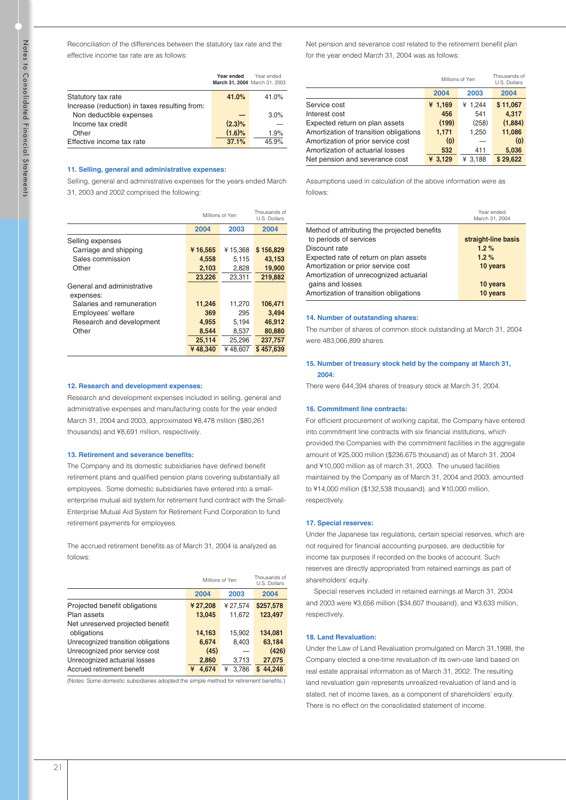Reconciliation of the differences between the statutory tax rate and the effective income tax rate are as follows:

|                                               | Year ended | Year ended<br>March 31, 2004 March 31, 2003 |
|-----------------------------------------------|------------|---------------------------------------------|
| Statutory tax rate                            | 41.0%      | 41.0%                                       |
| Increase (reduction) in taxes resulting from: |            |                                             |
| Non deductible expenses                       |            | 3.0%                                        |
| Income tax credit                             | $(2.3)\%$  |                                             |
| Other                                         | $(1.6)\%$  | 1.9%                                        |
| Effective income tax rate                     | 37.1%      | 45.9%                                       |

#### **11. Selling, general and administrative expenses:**

Selling, general and administrative expenses for the years ended March 31, 2003 and 2002 comprised the following:

|                            | Millions of Yen | Thousands of<br>U.S. Dollars |           |
|----------------------------|-----------------|------------------------------|-----------|
|                            | 2004            | 2003                         | 2004      |
| Selling expenses           |                 |                              |           |
| Carriage and shipping      | ¥16,565         | ¥15.368                      | \$156,829 |
| Sales commission           | 4,558           | 5,115                        | 43,153    |
| Other                      | 2,103           | 2,828                        | 19,900    |
|                            | 23,226          | 23,311                       | 219,882   |
| General and administrative |                 |                              |           |
| expenses:                  |                 |                              |           |
| Salaries and remuneration  | 11,246          | 11,270                       | 106,471   |
| Employees' welfare         | 369             | 295                          | 3,494     |
| Research and development   | 4,955           | 5,194                        | 46,912    |
| Other                      | 8.544           | 8,537                        | 80,880    |
|                            | 25,114          | 25,296                       | 237,757   |
|                            | ¥48,340         | ¥48.607                      | \$457.639 |

#### **12. Research and development expenses:**

Research and development expenses included in selling, general and administrative expenses and manufacturing costs for the year ended March 31, 2004 and 2003, approximated ¥8,478 million (\$80,261 thousands) and ¥8,691 million, respectively.

#### **13. Retirement and severance benefits:**

The Company and its domestic subsidiaries have defined benefit retirement plans and qualified pension plans covering substantially all employees. Some domestic subsidiaries have entered into a smallenterprise mutual aid system for retirement fund contract with the Small-Enterprise Mutual Aid System for Retirement Fund Corporation to fund retirement payments for employees.

The accrued retirement benefits as of March 31, 2004 is analyzed as follows:

|                                     | Millions of Yen | Thousands of<br>U.S. Dollars |             |
|-------------------------------------|-----------------|------------------------------|-------------|
|                                     | 2004            | 2003                         | 2004        |
| Projected benefit obligations       | ¥ 27,208        | ¥27,574                      | \$257,578   |
| Plan assets                         | 13,045          | 11.672                       | 123.497     |
| Net unreserved projected benefit    |                 |                              |             |
| obligations                         | 14,163          | 15.902                       | 134.081     |
| Unrecognized transition obligations | 6,674           | 8,403                        | 63,184      |
| Unrecognized prior service cost     | (45)            |                              | (426)       |
| Unrecognized actuarial losses       | 2,860           | 3,713                        | 27,075      |
| Accrued retirement benefit          | 4.674<br>¥      | 3.786<br>¥                   | 44.248<br>S |

(Notes: Some domestic subsidiaries adopted the simple method for retirement benefits.)

Net pension and severance cost related to the retirement benefit plan for the year ended March 31, 2004 was as follows:

|                                        | Millions of Yen | Thousands of<br>U.S. Dollars |          |
|----------------------------------------|-----------------|------------------------------|----------|
|                                        | 2004            | 2003                         | 2004     |
| Service cost                           | ¥ $1,169$       | ¥ 1.244                      | \$11,067 |
| Interest cost                          | 456             | 541                          | 4,317    |
| Expected return on plan assets         | (199)           | (258)                        | (1,884)  |
| Amortization of transition obligations | 1,171           | 1,250                        | 11,086   |
| Amortization of prior service cost     | (0)             |                              | (0)      |
| Amortization of actuarial losses       | 532             | 411                          | 5,036    |
| Net pension and severance cost         | ¥ 3.129         | ¥ 3.188                      | \$29,622 |
|                                        |                 |                              |          |

Assumptions used in calculation of the above information were as follows:

|                                              | March 31, 2004      |
|----------------------------------------------|---------------------|
| Method of attributing the projected benefits |                     |
| to periods of services                       | straight-line basis |
| Discount rate                                | 1.2%                |
| Expected rate of return on plan assets       | 1.2%                |
| Amortization or prior service cost           | 10 years            |
| Amortization of unrecognized actuarial       |                     |
| gains and losses                             | 10 years            |
| Amortization of transition obligations       | 10 years            |

#### **14. Number of outstanding shares:**

The number of shares of common stock outstanding at March 31, 2004 were 483,066,899 shares.

#### **15. Number of treasury stock held by the company at March 31, 2004:**

There were 644,394 shares of treasury stock at March 31, 2004.

#### **16. Commitment line contracts:**

For efficient procurement of working capital, the Company have entered into commitment line contracts with six financial institutions, which provided the Companies with the commitment facilities in the aggregate amount of ¥25,000 million (\$236,675 thousand) as of March 31, 2004 and ¥10,000 million as of march 31, 2003. The unused facilities maintained by the Company as of March 31, 2004 and 2003, amounted to ¥14,000 million (\$132,538 thousand), and ¥10,000 million, respectively.

#### **17. Special reserves:**

Under the Japanese tax regulations, certain special reserves, which are not required for financial accounting purposes, are deductible for income tax purposes if recorded on the books of account. Such reserves are directly appropriated from retained earnings as part of shareholders' equity.

Special reserves included in retained earnings at March 31, 2004 and 2003 were ¥3,656 million (\$34,607 thousand), and ¥3,633 million, respectively.

#### **18. Land Revaluation:**

Under the Law of Land Revaluation promulgated on March 31,1998, the Company elected a one-time revaluation of its own-use land based on real estate appraisal information as of March 31, 2002. The resulting land revaluation gain represents unrealized revaluation of land and is stated, net of income taxes, as a component of shareholders' equity. There is no effect on the consolidated statement of income.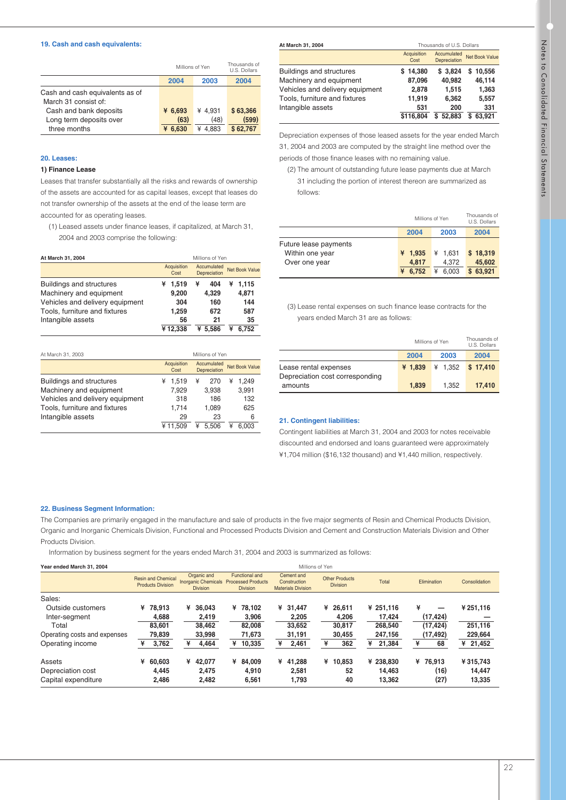#### **19. Cash and cash equivalents:**

|                                 | Millions of Yen | Thousands of<br>U.S. Dollars |          |
|---------------------------------|-----------------|------------------------------|----------|
|                                 | 2004            | 2003                         | 2004     |
| Cash and cash equivalents as of |                 |                              |          |
| March 31 consist of:            |                 |                              |          |
| Cash and bank deposits          | ¥ $6,693$       | ¥ 4.931                      | \$63,366 |
| Long term deposits over         | (63)            | (48)                         | (599)    |
| three months                    | ¥ 6.630         | 4.883<br>¥                   | \$62,767 |

#### **20. Leases:**

#### **1) Finance Lease**

Leases that transfer substantially all the risks and rewards of ownership of the assets are accounted for as capital leases, except that leases do not transfer ownership of the assets at the end of the lease term are accounted for as operating leases.

(1) Leased assets under finance leases, if capitalized, at March 31, 2004 and 2003 comprise the following:

|                                 | Acquisition<br>Cost | Accumulated<br><b>Depreciation</b> | <b>Net Book Value</b> |  |
|---------------------------------|---------------------|------------------------------------|-----------------------|--|
| Buildings and structures        | ¥ 1,519             | ¥<br>404                           | ¥ 1.115               |  |
| Machinery and equipment         | 9,200               | 4.329                              | 4,871                 |  |
| Vehicles and delivery equipment | 304                 | 160                                | 144                   |  |
| Tools, furniture and fixtures   | 1.259               | 672                                | 587                   |  |
| Intangible assets               | 56                  | 21                                 | 35                    |  |
|                                 | ¥12,338             | ¥ 5.586                            | 6.752                 |  |

| At March 31, 2003               | Millions of Yen     |                             |                       |  |  |
|---------------------------------|---------------------|-----------------------------|-----------------------|--|--|
|                                 | Acquisition<br>Cost | Accumulated<br>Depreciation | <b>Net Book Value</b> |  |  |
| <b>Buildings and structures</b> | 1.519<br>¥          | ¥<br>270                    | 1.249<br>¥            |  |  |
| Machinery and equipment         | 7.929               | 3.938                       | 3,991                 |  |  |
| Vehicles and delivery equipment | 318                 | 186                         | 132                   |  |  |
| Tools, furniture and fixtures   | 1.714               | 1.089                       | 625                   |  |  |
| Intangible assets               | 29                  | 23                          | 6                     |  |  |
|                                 | ¥11.509             | 5.506                       | 6.003                 |  |  |

| At March 31, 2004               | Thousands of U.S. Dollars |                             |                       |  |
|---------------------------------|---------------------------|-----------------------------|-----------------------|--|
|                                 | Acquisition<br>Cost       | Accumulated<br>Depreciation | <b>Net Book Value</b> |  |
| <b>Buildings and structures</b> | 14,380<br>s               | \$3.824                     | \$10,556              |  |
| Machinery and equipment         | 87,096                    | 40.982                      | 46.114                |  |
| Vehicles and delivery equipment | 2,878                     | 1.515                       | 1,363                 |  |
| Tools, furniture and fixtures   | 11,919                    | 6,362                       | 5,557                 |  |
| Intangible assets               | 531                       | 200                         | 331                   |  |
|                                 | \$116,804                 | 52.883<br>s                 | 63.921                |  |

Depreciation expenses of those leased assets for the year ended March 31, 2004 and 2003 are computed by the straight line method over the periods of those finance leases with no remaining value.

(2) The amount of outstanding future lease payments due at March 31 including the portion of interest thereon are summarized as follows:

|                                                           | Millions of Yen             | Thousands of<br>U.S. Dollars   |                                   |  |
|-----------------------------------------------------------|-----------------------------|--------------------------------|-----------------------------------|--|
|                                                           | 2004                        | 2003                           |                                   |  |
| Future lease payments<br>Within one year<br>Over one year | ¥ 1.935<br>4.817<br>¥ 6.752 | ¥ 1.631<br>4.372<br>6.003<br>¥ | \$18,319<br>45,602<br>63.921<br>s |  |

(3) Lease rental expenses on such finance lease contracts for the years ended March 31 are as follows:

|                                                          | Millions of Yen | Thousands of<br>U.S. Dollars |          |  |
|----------------------------------------------------------|-----------------|------------------------------|----------|--|
|                                                          | 2004            | 2003                         | 2004     |  |
| Lease rental expenses<br>Depreciation cost corresponding | ¥ 1.839         | ¥ 1.352                      | \$17,410 |  |
| amounts                                                  | 1.839           | 1.352                        | 17,410   |  |

#### **21. Contingent liabilities:**

Contingent liabilities at March 31, 2004 and 2003 for notes receivable discounted and endorsed and loans guaranteed were approximately ¥1,704 million (\$16,132 thousand) and ¥1,440 million, respectively.

#### **22. Business Segment Information:**

The Companies are primarily engaged in the manufacture and sale of products in the five major segments of Resin and Chemical Products Division, Organic and Inorganic Chemicals Division, Functional and Processed Products Division and Cement and Construction Materials Division and Other Products Division.

Information by business segment for the years ended March 31, 2004 and 2003 is summarized as follows:

**Millions of Yen** 

| Year ended March 31, 2004                    | Millions of Yen                                       |                                                              |                                                                       |                                                         |                                          |                     |                        |                    |
|----------------------------------------------|-------------------------------------------------------|--------------------------------------------------------------|-----------------------------------------------------------------------|---------------------------------------------------------|------------------------------------------|---------------------|------------------------|--------------------|
|                                              | <b>Resin and Chemical</b><br><b>Products Division</b> | Organic and<br><b>Inorganic Chemicals</b><br><b>Division</b> | <b>Functional and</b><br><b>Processed Products</b><br><b>Division</b> | Cement and<br>Construction<br><b>Materials Division</b> | <b>Other Products</b><br><b>Division</b> | Total               | Elimination            | Consolidation      |
| Sales:<br>Outside customers<br>Inter-segment | 78.913<br>¥<br>4,688                                  | 36,043<br>¥<br>2,419                                         | ¥ 78.102<br>3,906                                                     | 31.447<br>¥<br>2,205                                    | ¥ 26,611<br>4,206                        | ¥ 251,116<br>17,424 | ¥<br>-<br>(17, 424)    | ¥ 251,116          |
| Total<br>Operating costs and expenses        | 83,601<br>79,839                                      | 38,462<br>33,998                                             | 82,008<br>71,673                                                      | 33,652<br>31,191                                        | 30,817<br>30,455                         | 268,540<br>247,156  | (17, 424)<br>(17, 492) | 251,116<br>229,664 |
| Operating income                             | 3,762                                                 | 4,464<br>¥                                                   | 10,335<br>¥                                                           | 2,461<br>¥                                              | 362<br>¥                                 | 21,384<br>¥         | 68<br>¥                | 21,452<br>¥        |
| Assets                                       | 60.603<br>¥                                           | ¥<br>42,077                                                  | ¥ 84,009                                                              | 41.288<br>¥                                             | ¥ 10,853                                 | ¥ 238,830           | ¥ 76.913               | ¥315,743           |
| Depreciation cost                            | 4.445                                                 | 2,475                                                        | 4,910                                                                 | 2,581                                                   | 52                                       | 14,463              | (16)                   | 14,447             |
| Capital expenditure                          | 2,486                                                 | 2,482                                                        | 6,561                                                                 | 1,793                                                   | 40                                       | 13,362              | (27)                   | 13,335             |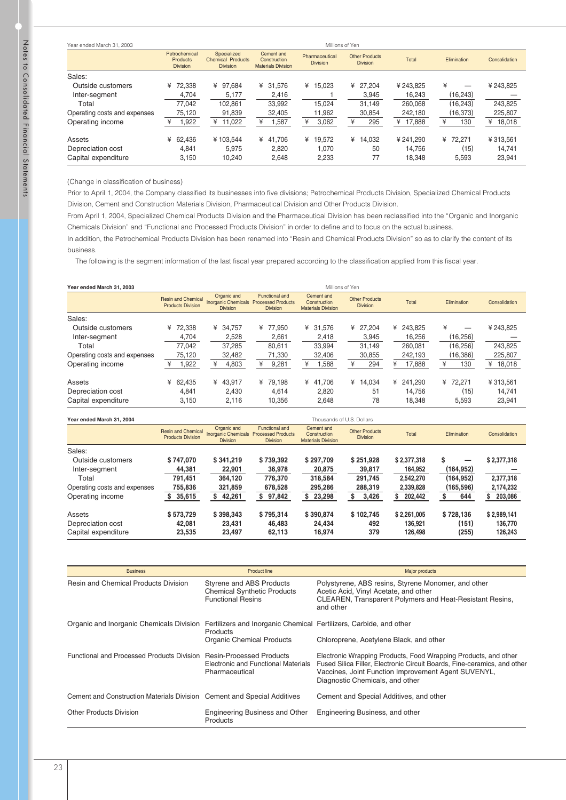| Year ended March 31, 2003    |                                              |                                                            | Millions of Yen                                         |                                   |                                          |          |             |               |  |
|------------------------------|----------------------------------------------|------------------------------------------------------------|---------------------------------------------------------|-----------------------------------|------------------------------------------|----------|-------------|---------------|--|
|                              | Petrochemical<br>Products<br><b>Division</b> | Specialized<br><b>Chemical Products</b><br><b>Division</b> | Cement and<br>Construction<br><b>Materials Division</b> | Pharmaceutical<br><b>Division</b> | <b>Other Products</b><br><b>Division</b> | Total    | Elimination | Consolidation |  |
| Sales:                       |                                              |                                                            |                                                         |                                   |                                          |          |             |               |  |
| Outside customers            | 72.338<br>¥                                  | 97.684<br>¥                                                | 31,576<br>¥                                             | 15,023<br>¥                       | ¥ 27.204                                 | ¥243.825 | ¥<br>—      | ¥ 243,825     |  |
| Inter-segment                | 4,704                                        | 5,177                                                      | 2,416                                                   |                                   | 3,945                                    | 16,243   | (16, 243)   |               |  |
| Total                        | 77.042                                       | 102.861                                                    | 33,992                                                  | 15.024                            | 31.149                                   | 260.068  | (16, 243)   | 243,825       |  |
| Operating costs and expenses | 75,120                                       | 91,839                                                     | 32,405                                                  | 11,962                            | 30,854                                   | 242.180  | (16, 373)   | 225,807       |  |
| Operating income             | I,922                                        | 11,022<br>¥                                                | 1,587                                                   | ¥<br>3,062                        | 295<br>¥                                 | ¥ 17,888 | ¥<br>130    | 18,018<br>¥   |  |
| Assets                       | 62.436<br>¥                                  | ¥103.544                                                   | ¥ 41.706                                                | ¥<br>19.572                       | ¥<br>14.032                              | ¥241.290 | ¥ 72.271    | ¥313,561      |  |
| Depreciation cost            | 4,841                                        | 5.975                                                      | 2,820                                                   | 1,070                             | 50                                       | 14.756   | (15)        | 14,741        |  |
| Capital expenditure          | 3.150                                        | 10.240                                                     | 2,648                                                   | 2,233                             | 77                                       | 18.348   | 5,593       | 23,941        |  |

(Change in classification of business)

Prior to April 1, 2004, the Company classified its businesses into five divisions; Petrochemical Products Division, Specialized Chemical Products Division, Cement and Construction Materials Division, Pharmaceutical Division and Other Products Division.

From April 1, 2004, Specialized Chemical Products Division and the Pharmaceutical Division has been reclassified into the "Organic and Inorganic Chemicals Division" and "Functional and Processed Products Division" in order to define and to focus on the actual business.

In addition, the Petrochemical Products Division has been renamed into "Resin and Chemical Products Division" so as to clarify the content of its business.

The following is the segment information of the last fiscal year prepared according to the classification applied from this fiscal year.

| Year ended March 31, 2003    |                                                       |                                                              | Millions of Yen                                                       |                                                         |                                          |              |                    |               |
|------------------------------|-------------------------------------------------------|--------------------------------------------------------------|-----------------------------------------------------------------------|---------------------------------------------------------|------------------------------------------|--------------|--------------------|---------------|
|                              | <b>Resin and Chemical</b><br><b>Products Division</b> | Organic and<br><b>Inorganic Chemicals</b><br><b>Division</b> | <b>Functional and</b><br><b>Processed Products</b><br><b>Division</b> | Cement and<br>Construction<br><b>Materials Division</b> | <b>Other Products</b><br><b>Division</b> | Total        | <b>Elimination</b> | Consolidation |
| Sales:                       |                                                       |                                                              |                                                                       |                                                         |                                          |              |                    |               |
| Outside customers            | 72.338<br>¥                                           | 34.757<br>¥                                                  | 77.950<br>¥                                                           | 31.576<br>¥                                             | 27.204<br>¥                              | 243.825<br>¥ | ¥                  | ¥243,825      |
| Inter-segment                | 4,704                                                 | 2,528                                                        | 2,661                                                                 | 2,418                                                   | 3,945                                    | 16,256       | (16, 256)          |               |
| Total                        | 77.042                                                | 37,285                                                       | 80.611                                                                | 33.994                                                  | 31.149                                   | 260.081      | (16.256)           | 243.825       |
| Operating costs and expenses | 75,120                                                | 32,482                                                       | 71,330                                                                | 32,406                                                  | 30,855                                   | 242,193      | (16,386)           | 225,807       |
| Operating income             | 1,922                                                 | 4,803<br>¥                                                   | 9,281                                                                 | .588<br>¥                                               | ¥<br>294                                 | 17,888       | ¥<br>130           | ¥<br>18,018   |
| Assets                       | 62.435<br>¥                                           | 43,917<br>¥                                                  | 79.198<br>¥                                                           | 41.706<br>¥                                             | ¥ 14.034                                 | 241.290<br>¥ | 72.271<br>¥        | ¥313,561      |
| Depreciation cost            | 4.841                                                 | 2,430                                                        | 4.614                                                                 | 2.820                                                   | 51                                       | 14.756       | (15)               | 14,741        |
| Capital expenditure          | 3,150                                                 | 2.116                                                        | 10.356                                                                | 2,648                                                   | 78                                       | 18.348       | 5,593              | 23,941        |

|  | Year ended March 31, 2004 |  |  |  |
|--|---------------------------|--|--|--|
|--|---------------------------|--|--|--|

|                              | <b>Resin and Chemical</b><br><b>Products Division</b> | Organic and<br><b>Inorganic Chemicals</b><br><b>Division</b> | <b>Functional and</b><br><b>Processed Products</b><br><b>Division</b> | Cement and<br>Construction<br><b>Materials Division</b> | <b>Other Products</b><br><b>Division</b> | Total       | Elimination | Consolidation |
|------------------------------|-------------------------------------------------------|--------------------------------------------------------------|-----------------------------------------------------------------------|---------------------------------------------------------|------------------------------------------|-------------|-------------|---------------|
| Sales:                       |                                                       |                                                              |                                                                       |                                                         |                                          |             |             |               |
| Outside customers            | \$747.070                                             | \$341,219                                                    | \$739,392                                                             | \$297,709                                               | \$251.928                                | \$2,377,318 | S           | \$2,377,318   |
| Inter-segment                | 44,381                                                | 22,901                                                       | 36,978                                                                | 20,875                                                  | 39,817                                   | 164,952     | (164, 952)  |               |
| Total                        | 791,451                                               | 364,120                                                      | 776,370                                                               | 318,584                                                 | 291,745                                  | 2,542,270   | (164, 952)  | 2,377,318     |
| Operating costs and expenses | 755,836                                               | 321,859                                                      | 678,528                                                               | 295,286                                                 | 288,319                                  | 2,339,828   | (165, 596)  | 2,174,232     |
| Operating income             | 35,615                                                | 42,261<br>S                                                  | 97,842<br>s                                                           | 23,298<br>S.                                            | 3,426<br>S                               | 202,442     | 644         | 203,086       |
| Assets                       | \$573.729                                             | \$398,343                                                    | \$795,314                                                             | \$390,874                                               | \$102,745                                | \$2,261,005 | \$728,136   | \$2,989,141   |
| Depreciation cost            | 42.081                                                | 23.431                                                       | 46.483                                                                | 24,434                                                  | 492                                      | 136.921     | (151)       | 136.770       |
| Capital expenditure          | 23,535                                                | 23,497                                                       | 62,113                                                                | 16,974                                                  | 379                                      | 126,498     | (255)       | 126,243       |

Thousands of U.S. Dollars

| <b>Business</b>                                                                                             | <b>Product line</b>                                                                        | Major products                                                                                                                                                                                                                        |
|-------------------------------------------------------------------------------------------------------------|--------------------------------------------------------------------------------------------|---------------------------------------------------------------------------------------------------------------------------------------------------------------------------------------------------------------------------------------|
| <b>Resin and Chemical Products Division</b>                                                                 | Styrene and ABS Products<br><b>Chemical Synthetic Products</b><br><b>Functional Resins</b> | Polystyrene, ABS resins, Styrene Monomer, and other<br>Acetic Acid, Vinyl Acetate, and other<br><b>CLEAREN, Transparent Polymers and Heat-Resistant Resins,</b><br>and other                                                          |
| Organic and Inorganic Chemicals Division Fertilizers and Inorganic Chemical Fertilizers, Carbide, and other | Products                                                                                   |                                                                                                                                                                                                                                       |
|                                                                                                             | <b>Organic Chemical Products</b>                                                           | Chloroprene, Acetylene Black, and other                                                                                                                                                                                               |
| Functional and Processed Products Division Resin-Processed Products                                         | Electronic and Functional Materials<br>Pharmaceutical                                      | Electronic Wrapping Products, Food Wrapping Products, and other<br>Fused Silica Filler, Electronic Circuit Boards, Fine-ceramics, and other<br>Vaccines, Joint Function Improvement Agent SUVENYL,<br>Diagnostic Chemicals, and other |
| Cement and Construction Materials Division Cement and Special Additives                                     |                                                                                            | Cement and Special Additives, and other                                                                                                                                                                                               |
| Other Products Division                                                                                     | Engineering Business and Other<br>Products                                                 | Engineering Business, and other                                                                                                                                                                                                       |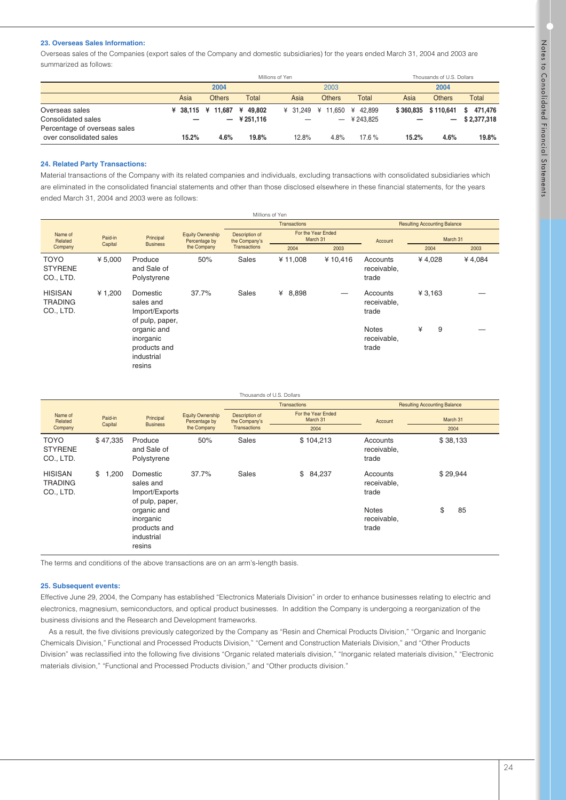# **23. Overseas Sales Information:**

Overseas sales of the Companies (export sales of the Company and domestic subsidiaries) for the years ended March 31, 2004 and 2003 are summarized as follows:

|                                      | Millions of Yen |                            |          |                            |               | Thousands of U.S. Dollars |           |               |                             |
|--------------------------------------|-----------------|----------------------------|----------|----------------------------|---------------|---------------------------|-----------|---------------|-----------------------------|
|                                      | 2004            |                            |          | 2003                       |               |                           | 2004      |               |                             |
|                                      | Asia            | <b>Others</b>              | Total    | Asia                       | <b>Others</b> | <b>Total</b>              | Asia      | <b>Others</b> | Total                       |
| Overseas sales<br>Consolidated sales |                 | ¥ 38,115 ¥ 11,687 ¥ 49,802 | ¥251.116 | ¥ 31.249 ¥ 11.650 ¥ 42.899 |               | ¥ 243.825                 | \$360,835 | \$110.641     | 471.476<br>s<br>\$2,377,318 |
| Percentage of overseas sales         |                 | $\overline{\phantom{0}}$   |          |                            |               |                           |           | —             |                             |
| over consolidated sales              | 15.2%           | 4.6%                       | 19.8%    | 12.8%                      | 4.8%          | 17.6%                     | 15.2%     | 4.6%          | 19.8%                       |

# **24. Related Party Transactions:**

Material transactions of the Company with its related companies and individuals, excluding transactions with consolidated subsidiaries which are eliminated in the consolidated financial statements and other than those disclosed elsewhere in these financial statements, for the years ended March 31, 2004 and 2003 were as follows:

|                                               |         |                                                                  |                                          | Millions of Yen                 |                                |                                     |                                      |        |   |          |
|-----------------------------------------------|---------|------------------------------------------------------------------|------------------------------------------|---------------------------------|--------------------------------|-------------------------------------|--------------------------------------|--------|---|----------|
|                                               |         |                                                                  |                                          |                                 | Transactions                   | <b>Resulting Accounting Balance</b> |                                      |        |   |          |
| Name of<br>Paid-in<br>Related                 |         | Principal<br><b>Business</b>                                     | <b>Equity Ownership</b><br>Percentage by | Description of<br>the Company's | For the Year Ended<br>March 31 |                                     | Account                              |        |   | March 31 |
| Company                                       | Capital |                                                                  | the Company                              | Transactions                    | 2004                           | 2003                                |                                      | 2004   |   | 2003     |
| <b>TOYO</b><br><b>STYRENE</b><br>CO., LTD.    | ¥ 5,000 | Produce<br>and Sale of<br>Polystyrene                            | 50%                                      | Sales                           | ¥11,008                        | ¥10,416                             | Accounts<br>receivable,<br>trade     | ¥4,028 |   | ¥4,084   |
| <b>HISISAN</b><br><b>TRADING</b><br>CO., LTD. | ¥1,200  | Domestic<br>sales and<br>Import/Exports<br>of pulp, paper,       | 37.7%                                    | Sales                           | 8,898<br>¥                     |                                     | Accounts<br>receivable,<br>trade     | ¥3,163 |   |          |
|                                               |         | organic and<br>inorganic<br>products and<br>industrial<br>resins |                                          |                                 |                                |                                     | <b>Notes</b><br>receivable,<br>trade | ¥      | 9 |          |

| Thousands of U.S. Dollars                     |                    |                                                                  |                                          |                                 |                                |                                      |                                     |  |
|-----------------------------------------------|--------------------|------------------------------------------------------------------|------------------------------------------|---------------------------------|--------------------------------|--------------------------------------|-------------------------------------|--|
|                                               |                    |                                                                  |                                          |                                 | <b>Transactions</b>            |                                      | <b>Resulting Accounting Balance</b> |  |
| Name of<br>Related                            | Paid-in<br>Capital | Principal<br><b>Business</b>                                     | <b>Equity Ownership</b><br>Percentage by | Description of<br>the Company's | For the Year Ended<br>March 31 | Account                              | March 31                            |  |
| Company                                       |                    |                                                                  | the Company                              | <b>Transactions</b>             | 2004                           |                                      | 2004                                |  |
| <b>TOYO</b><br><b>STYRENE</b><br>CO., LTD.    | \$47,335           | Produce<br>and Sale of<br>Polystyrene                            | 50%                                      | Sales                           | \$104,213                      | Accounts<br>receivable,<br>trade     | \$38,133                            |  |
| <b>HISISAN</b><br><b>TRADING</b><br>CO., LTD. | \$<br>1,200        | Domestic<br>sales and<br>Import/Exports<br>of pulp, paper,       | 37.7%                                    | <b>Sales</b>                    | \$84,237                       | Accounts<br>receivable,<br>trade     | \$29,944                            |  |
|                                               |                    | organic and<br>inorganic<br>products and<br>industrial<br>resins |                                          |                                 |                                | <b>Notes</b><br>receivable,<br>trade | \$<br>85                            |  |

The terms and conditions of the above transactions are on an arm's-length basis.

# **25. Subsequent events:**

Effective June 29, 2004, the Company has established "Electronics Materials Division" in order to enhance businesses relating to electric and electronics, magnesium, semiconductors, and optical product businesses. In addition the Company is undergoing a reorganization of the business divisions and the Research and Development frameworks.

As a result, the five divisions previously categorized by the Company as "Resin and Chemical Products Division," "Organic and Inorganic Chemicals Division," Functional and Processed Products Division," "Cement and Construction Materials Division," and "Other Products Division" was reclassified into the following five divisions "Organic related materials division," "Inorganic related materials division," "Electronic materials division," "Functional and Processed Products division," and "Other products division."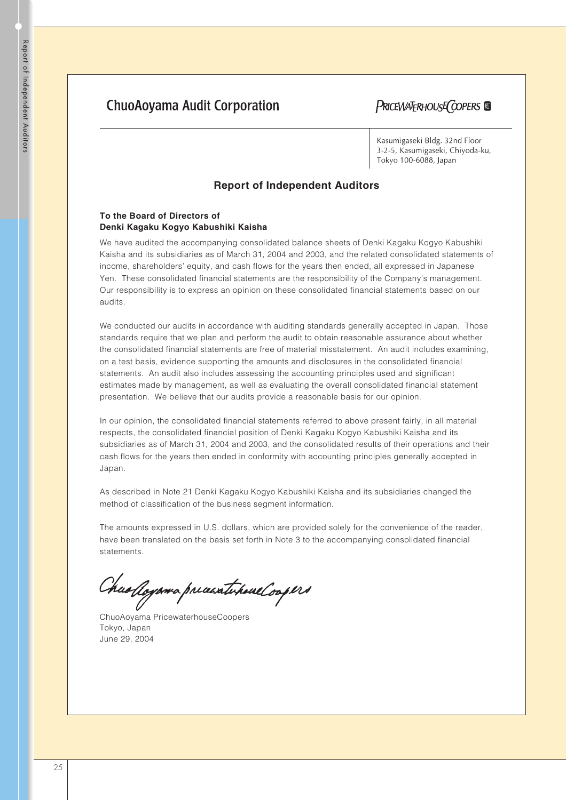# **ChuoAoyama Audit Corporation**

PRICEWATERHOUSE COPERS

Kasumigaseki Bldg. 32nd Floor 3-2-5, Kasumigaseki, Chiyoda-ku, Tokyo 100-6088, Japan

# **Report of Independent Auditors**

# **To the Board of Directors of Denki Kagaku Kogyo Kabushiki Kaisha**

We have audited the accompanying consolidated balance sheets of Denki Kagaku Kogyo Kabushiki Kaisha and its subsidiaries as of March 31, 2004 and 2003, and the related consolidated statements of income, shareholders' equity, and cash flows for the years then ended, all expressed in Japanese Yen. These consolidated financial statements are the responsibility of the Company's management. Our responsibility is to express an opinion on these consolidated financial statements based on our audits.

We conducted our audits in accordance with auditing standards generally accepted in Japan. Those standards require that we plan and perform the audit to obtain reasonable assurance about whether the consolidated financial statements are free of material misstatement. An audit includes examining, on a test basis, evidence supporting the amounts and disclosures in the consolidated financial statements. An audit also includes assessing the accounting principles used and significant estimates made by management, as well as evaluating the overall consolidated financial statement presentation. We believe that our audits provide a reasonable basis for our opinion.

In our opinion, the consolidated financial statements referred to above present fairly, in all material respects, the consolidated financial position of Denki Kagaku Kogyo Kabushiki Kaisha and its subsidiaries as of March 31, 2004 and 2003, and the consolidated results of their operations and their cash flows for the years then ended in conformity with accounting principles generally accepted in Japan.

As described in Note 21 Denki Kagaku Kogyo Kabushiki Kaisha and its subsidiaries changed the method of classification of the business segment information.

The amounts expressed in U.S. dollars, which are provided solely for the convenience of the reader, have been translated on the basis set forth in Note 3 to the accompanying consolidated financial statements.

Chaollayama preasatihoalloopers

ChuoAoyama PricewaterhouseCoopers Tokyo, Japan June 29, 2004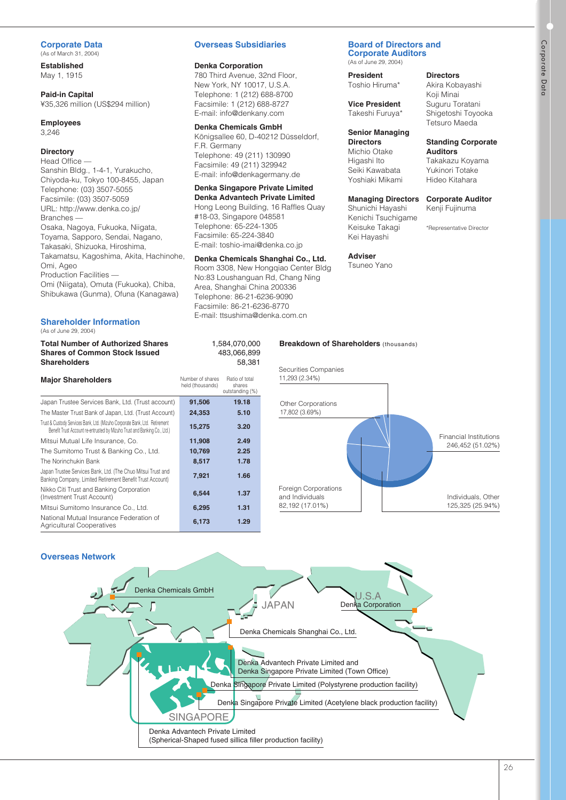# **Corporate Data**

(As of March 31, 2004)

**Established** May 1, 1915

**Paid-in Capital** ¥35,326 million (US\$294 million)

#### **Employees** 3,246

# **Directory**

Head Office — Sanshin Bldg., 1-4-1, Yurakucho, Chiyoda-ku, Tokyo 100-8455, Japan Telephone: (03) 3507-5055 Facsimile: (03) 3507-5059 URL: http://www.denka.co.jp/ Branches — Osaka, Nagoya, Fukuoka, Niigata, Toyama, Sapporo, Sendai, Nagano, Takasaki, Shizuoka, Hiroshima, Takamatsu, Kagoshima, Akita, Hachinohe, Omi, Ageo Production Facilities — Omi (Niigata), Omuta (Fukuoka), Chiba, Shibukawa (Gunma), Ofuna (Kanagawa)

#### **Shareholder Information** (As of June 29, 2004)

## **Total Number of Authorized Shares Shares of Common Stock Issued Shareholders**

#### **Major Shareholders** Number of shares held (thousands) Ratio of total shares stiates<br>outstanding (%) **91,506 24,353 15,275 11,908 10,769 8,517 7,921 6,544 6,295 6,173 19.18 5.10 3.20 2.49 2.25 1.78 1.66 1.37 1.31 1.29** Japan Trustee Services Bank, Ltd. (Trust account) The Master Trust Bank of Japan, Ltd. (Trust Account) Trust & Custody Services Bank, Ltd. (Mizuho Corporate Bank, Ltd. Retirement Benefit Trust Account re-entrusted by Mizuho Trust and Banking Co., Ltd.) Mitsui Mutual Life Insurance, Co. The Sumitomo Trust & Banking Co., Ltd. The Norinchukin Bank Japan Trustee Services Bank, Ltd. (The Chuo Mitsui Trust and Banking Company, Limited Retirement Benefit Trust Account) Nikko Citi Trust and Banking Corporation (Investment Trust Account) Mitsui Sumitomo Insurance Co., Ltd. National Mutual Insurance Federation of Agricultural Cooperatives

# **Overseas Subsidiaries**

## **Denka Corporation**

780 Third Avenue, 32nd Floor, New York, NY 10017, U.S.A. Telephone: 1 (212) 688-8700 Facsimile: 1 (212) 688-8727 E-mail: info@denkany.com

## **Denka Chemicals GmbH**

Königsallee 60, D-40212 Düsseldorf, F.R. Germany Telephone: 49 (211) 130990 Facsimile: 49 (211) 329942 E-mail: info@denkagermany.de

# **Denka Singapore Private Limited**

**Denka Advantech Private Limited** Hong Leong Building, 16 Raffles Quay #18-03, Singapore 048581 Telephone: 65-224-1305 Facsimile: 65-224-3840 E-mail: toshio-imai@denka.co.jp

# **Denka Chemicals Shanghai Co., Ltd.**

Room 3308, New Hongqiao Center Bldg No:83 Loushanguan Rd, Chang Ning Area, Shanghai China 200336 Telephone: 86-21-6236-9090 Facsimile: 86-21-6236-8770 E-mail: ttsushima@denka.com.cn

> 1,584,070,000 483,066,899 58,381

#### **Board of Directors and Corporate Auditors**

(As of June 29, 2004)

## **Directors**

Toshio Hiruma\*

**President**

**Vice President** Takeshi Furuya\*

# **Senior Managing**

**Directors** Michio Otake Higashi Ito Seiki Kawabata Yoshiaki Mikami

## **Managing Directors**

Shunichi Hayashi Kenichi Tsuchigame Keisuke Takagi Kei Hayashi

**Adviser** Tsuneo Yano

**Breakdown of Shareholders** (thousands)

#### Shigetoshi Toyooka Tetsuro Maeda

Akira Kobayashi Koji Minai Suguru Toratani

# **Standing Corporate Auditors**

Takakazu Koyama Yukinori Totake Hideo Kitahara

## **Corporate Auditor**

Kenji Fujinuma

\*Representative Director



**Overseas Network**